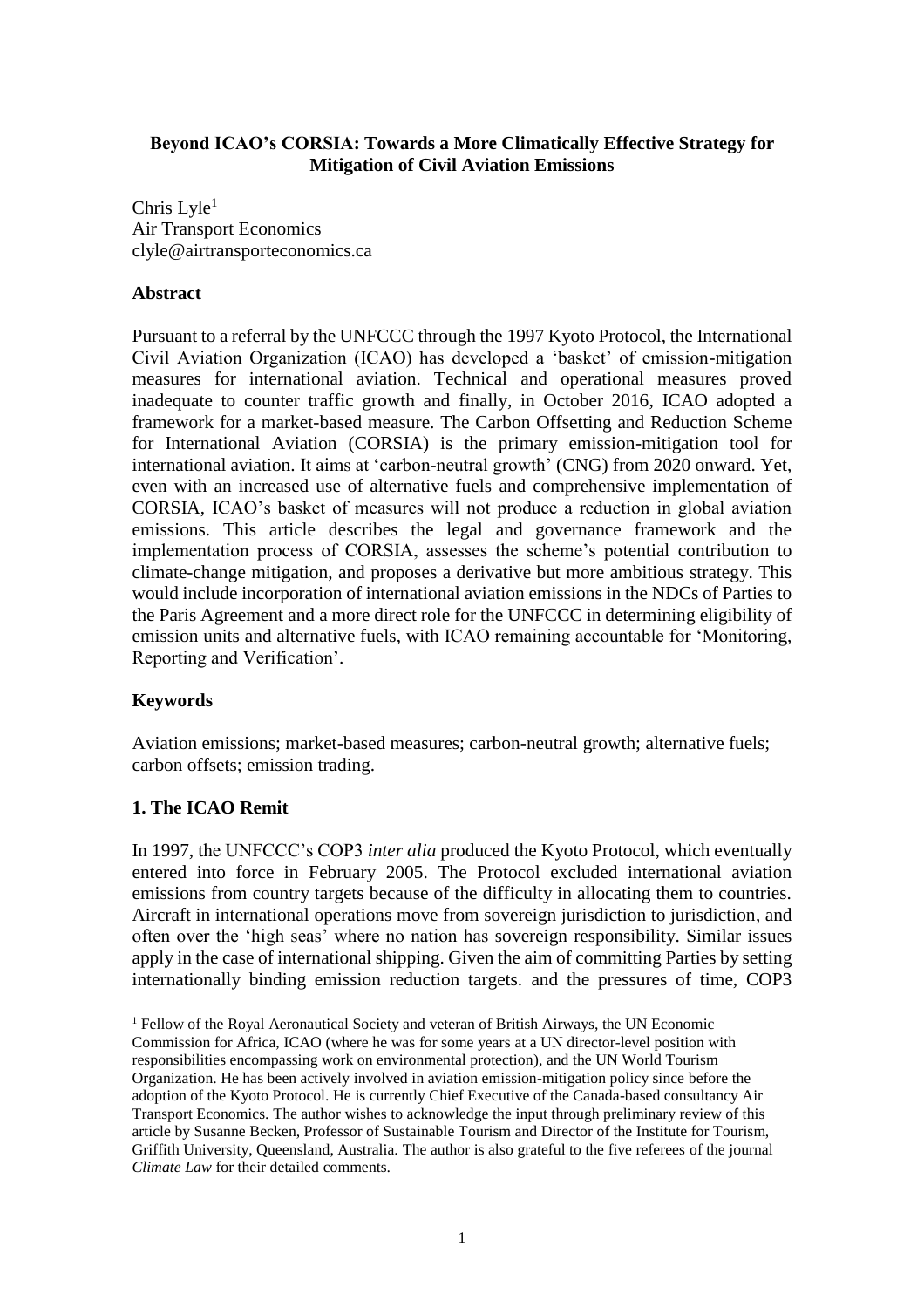# **Beyond ICAO's CORSIA: Towards a More Climatically Effective Strategy for Mitigation of Civil Aviation Emissions**

Chris Lyle $<sup>1</sup>$ </sup> Air Transport Economics clyle@airtransporteconomics.ca

## **Abstract**

Pursuant to a referral by the UNFCCC through the 1997 Kyoto Protocol, the International Civil Aviation Organization (ICAO) has developed a 'basket' of emission-mitigation measures for international aviation. Technical and operational measures proved inadequate to counter traffic growth and finally, in October 2016, ICAO adopted a framework for a market-based measure. The Carbon Offsetting and Reduction Scheme for International Aviation (CORSIA) is the primary emission-mitigation tool for international aviation. It aims at 'carbon-neutral growth' (CNG) from 2020 onward. Yet, even with an increased use of alternative fuels and comprehensive implementation of CORSIA, ICAO's basket of measures will not produce a reduction in global aviation emissions. This article describes the legal and governance framework and the implementation process of CORSIA, assesses the scheme's potential contribution to climate-change mitigation, and proposes a derivative but more ambitious strategy. This would include incorporation of international aviation emissions in the NDCs of Parties to the Paris Agreement and a more direct role for the UNFCCC in determining eligibility of emission units and alternative fuels, with ICAO remaining accountable for 'Monitoring, Reporting and Verification'.

# **Keywords**

Aviation emissions; market-based measures; carbon-neutral growth; alternative fuels; carbon offsets; emission trading.

## **1. The ICAO Remit**

In 1997, the UNFCCC's COP3 *inter alia* produced the Kyoto Protocol, which eventually entered into force in February 2005. The Protocol excluded international aviation emissions from country targets because of the difficulty in allocating them to countries. Aircraft in international operations move from sovereign jurisdiction to jurisdiction, and often over the 'high seas' where no nation has sovereign responsibility. Similar issues apply in the case of international shipping. Given the aim of committing Parties by setting internationally binding emission reduction targets. and the pressures of time, COP3

 $<sup>1</sup>$  Fellow of the Royal Aeronautical Society and veteran of British Airways, the UN Economic</sup> Commission for Africa, ICAO (where he was for some years at a UN director-level position with responsibilities encompassing work on environmental protection), and the UN World Tourism Organization. He has been actively involved in aviation emission-mitigation policy since before the adoption of the Kyoto Protocol. He is currently Chief Executive of the Canada-based consultancy Air Transport Economics. The author wishes to acknowledge the input through preliminary review of this article by Susanne Becken, Professor of Sustainable Tourism and Director of the Institute for Tourism, Griffith University, Queensland, Australia. The author is also grateful to the five referees of the journal *Climate Law* for their detailed comments.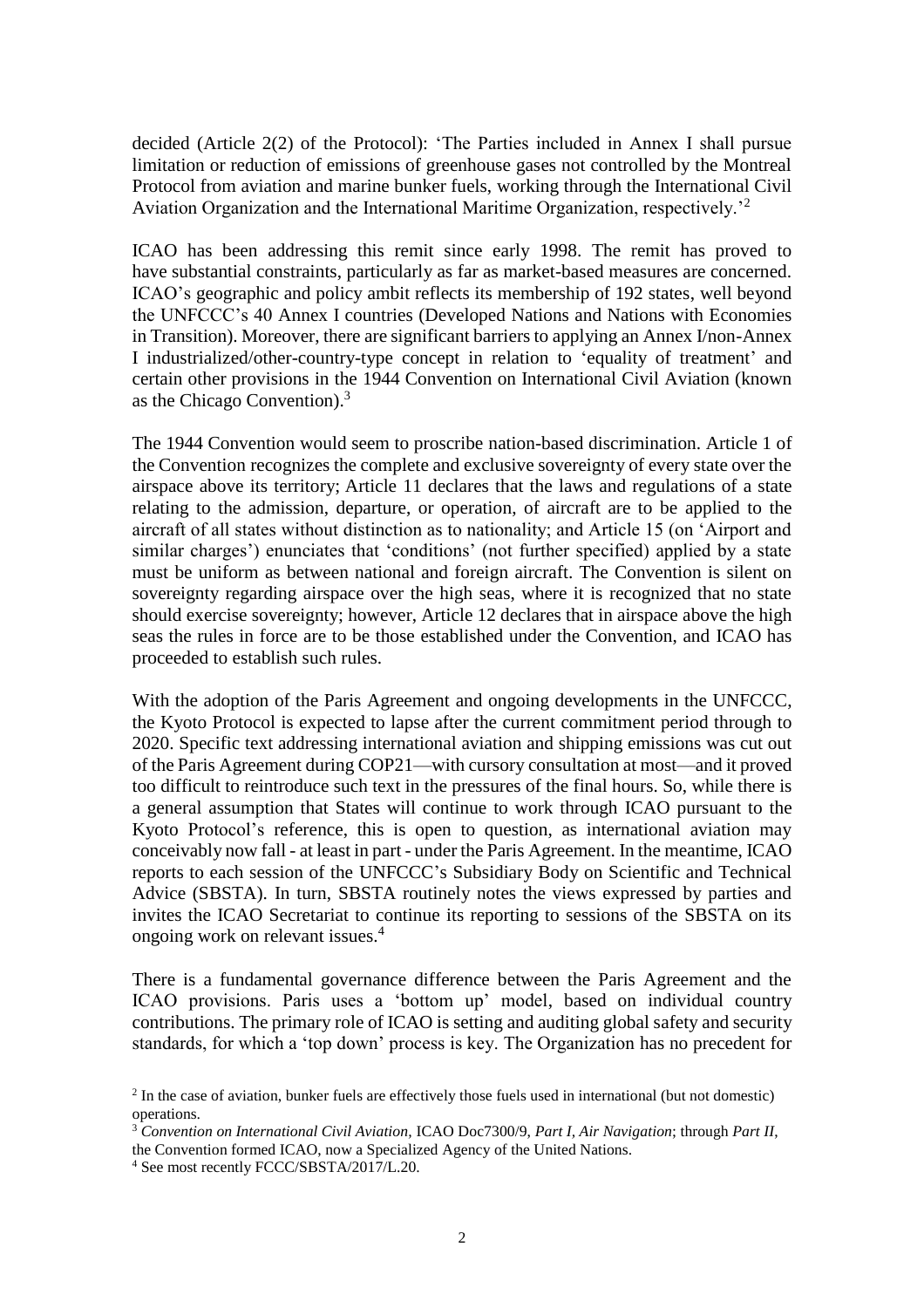decided (Article 2(2) of the Protocol): 'The Parties included in Annex I shall pursue limitation or reduction of emissions of greenhouse gases not controlled by the Montreal Protocol from aviation and marine bunker fuels, working through the International Civil Aviation Organization and the International Maritime Organization, respectively.'<sup>2</sup>

ICAO has been addressing this remit since early 1998. The remit has proved to have substantial constraints, particularly as far as market-based measures are concerned. ICAO's geographic and policy ambit reflects its membership of 192 states, well beyond the UNFCCC's 40 Annex I countries (Developed Nations and Nations with Economies in Transition). Moreover, there are significant barriers to applying an Annex I/non-Annex I industrialized/other-country-type concept in relation to 'equality of treatment' and certain other provisions in the 1944 Convention on International Civil Aviation (known as the Chicago Convention).<sup>3</sup>

The 1944 Convention would seem to proscribe nation-based discrimination. Article 1 of the Convention recognizes the complete and exclusive sovereignty of every state over the airspace above its territory; Article 11 declares that the laws and regulations of a state relating to the admission, departure, or operation, of aircraft are to be applied to the aircraft of all states without distinction as to nationality; and Article 15 (on 'Airport and similar charges') enunciates that 'conditions' (not further specified) applied by a state must be uniform as between national and foreign aircraft. The Convention is silent on sovereignty regarding airspace over the high seas, where it is recognized that no state should exercise sovereignty; however, Article 12 declares that in airspace above the high seas the rules in force are to be those established under the Convention, and ICAO has proceeded to establish such rules.

With the adoption of the Paris Agreement and ongoing developments in the UNFCCC, the Kyoto Protocol is expected to lapse after the current commitment period through to 2020. Specific text addressing international aviation and shipping emissions was cut out of the Paris Agreement during COP21—with cursory consultation at most—and it proved too difficult to reintroduce such text in the pressures of the final hours. So, while there is a general assumption that States will continue to work through ICAO pursuant to the Kyoto Protocol's reference, this is open to question, as international aviation may conceivably now fall - at least in part - under the Paris Agreement. In the meantime, ICAO reports to each session of the UNFCCC's Subsidiary Body on Scientific and Technical Advice (SBSTA). In turn, SBSTA routinely notes the views expressed by parties and invites the ICAO Secretariat to continue its reporting to sessions of the SBSTA on its ongoing work on relevant issues.<sup>4</sup>

There is a fundamental governance difference between the Paris Agreement and the ICAO provisions. Paris uses a 'bottom up' model, based on individual country contributions. The primary role of ICAO is setting and auditing global safety and security standards, for which a 'top down' process is key. The Organization has no precedent for

<sup>&</sup>lt;sup>2</sup> In the case of aviation, bunker fuels are effectively those fuels used in international (but not domestic) operations.

<sup>3</sup> *Convention on International Civil Aviation,* ICAO Doc7300/9, *Part I, Air Navigation*; through *Part II*, the Convention formed ICAO, now a Specialized Agency of the United Nations.

<sup>4</sup> See most recently FCCC/SBSTA/2017/L.20.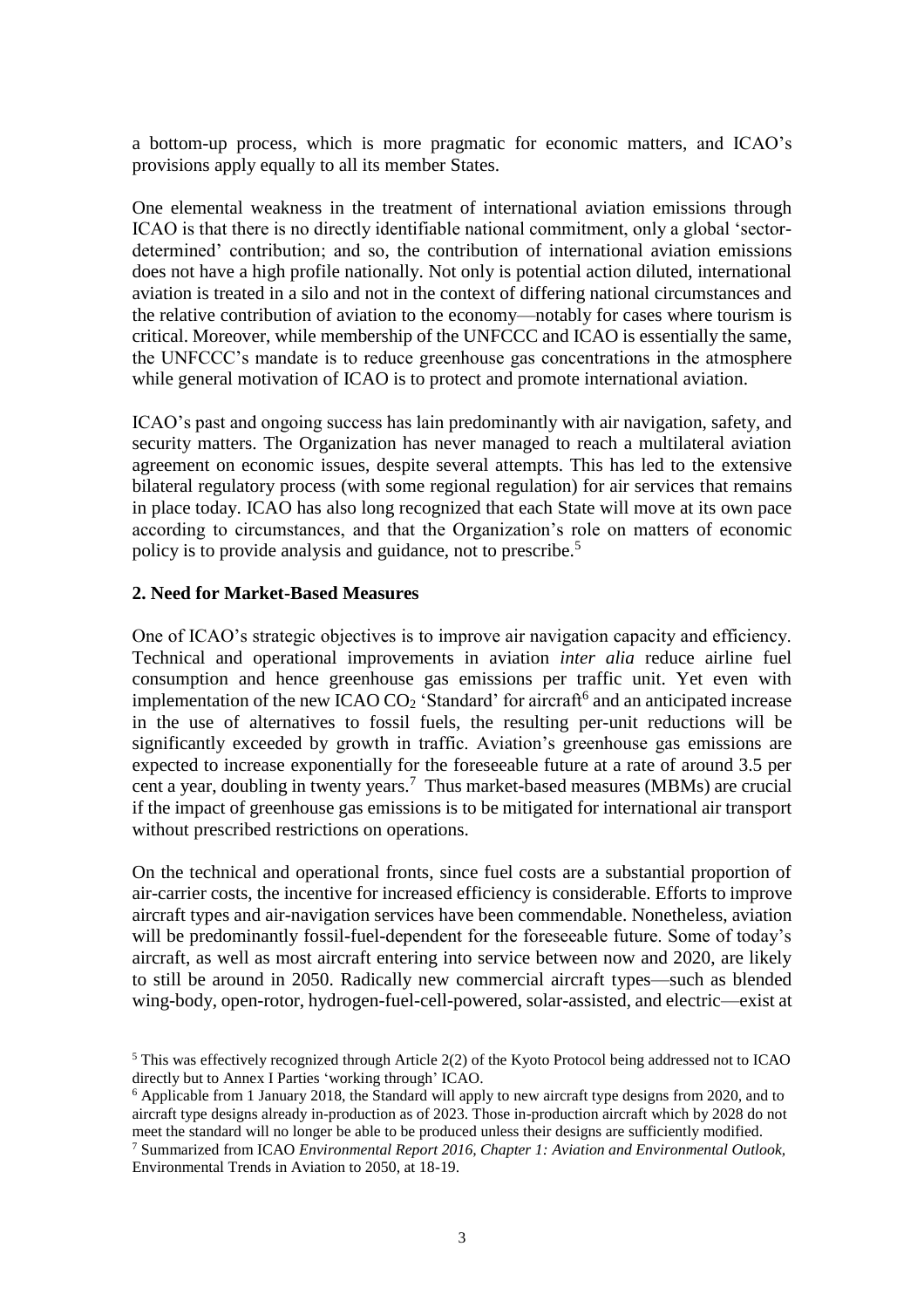a bottom-up process, which is more pragmatic for economic matters, and ICAO's provisions apply equally to all its member States.

One elemental weakness in the treatment of international aviation emissions through ICAO is that there is no directly identifiable national commitment, only a global 'sectordetermined' contribution; and so, the contribution of international aviation emissions does not have a high profile nationally. Not only is potential action diluted, international aviation is treated in a silo and not in the context of differing national circumstances and the relative contribution of aviation to the economy—notably for cases where tourism is critical. Moreover, while membership of the UNFCCC and ICAO is essentially the same, the UNFCCC's mandate is to reduce greenhouse gas concentrations in the atmosphere while general motivation of ICAO is to protect and promote international aviation.

ICAO's past and ongoing success has lain predominantly with air navigation, safety, and security matters. The Organization has never managed to reach a multilateral aviation agreement on economic issues, despite several attempts. This has led to the extensive bilateral regulatory process (with some regional regulation) for air services that remains in place today. ICAO has also long recognized that each State will move at its own pace according to circumstances, and that the Organization's role on matters of economic policy is to provide analysis and guidance, not to prescribe.<sup>5</sup>

#### **2. Need for Market-Based Measures**

One of ICAO's strategic objectives is to improve air navigation capacity and efficiency. Technical and operational improvements in aviation *inter alia* reduce airline fuel consumption and hence greenhouse gas emissions per traffic unit. Yet even with implementation of the new ICAO CO<sub>2</sub> 'Standard' for aircraft<sup>6</sup> and an anticipated increase in the use of alternatives to fossil fuels, the resulting per-unit reductions will be significantly exceeded by growth in traffic. Aviation's greenhouse gas emissions are expected to increase exponentially for the foreseeable future at a rate of around 3.5 per cent a year, doubling in twenty years.<sup>7</sup> Thus market-based measures (MBMs) are crucial if the impact of greenhouse gas emissions is to be mitigated for international air transport without prescribed restrictions on operations.

On the technical and operational fronts, since fuel costs are a substantial proportion of air-carrier costs, the incentive for increased efficiency is considerable. Efforts to improve aircraft types and air-navigation services have been commendable. Nonetheless, aviation will be predominantly fossil-fuel-dependent for the foreseeable future. Some of today's aircraft, as well as most aircraft entering into service between now and 2020, are likely to still be around in 2050. Radically new commercial aircraft types—such as blended wing-body, open-rotor, hydrogen-fuel-cell-powered, solar-assisted, and electric—exist at

<sup>5</sup> This was effectively recognized through Article 2(2) of the Kyoto Protocol being addressed not to ICAO directly but to Annex I Parties 'working through' ICAO.

<sup>6</sup> Applicable from 1 January 2018, the Standard will apply to new aircraft type designs from 2020, and to aircraft type designs already in-production as of 2023. Those in-production aircraft which by 2028 do not meet the standard will no longer be able to be produced unless their designs are sufficiently modified.

<sup>7</sup> Summarized from ICAO *Environmental Report 2016, Chapter 1: Aviation and Environmental Outlook,*  Environmental Trends in Aviation to 2050, at 18-19.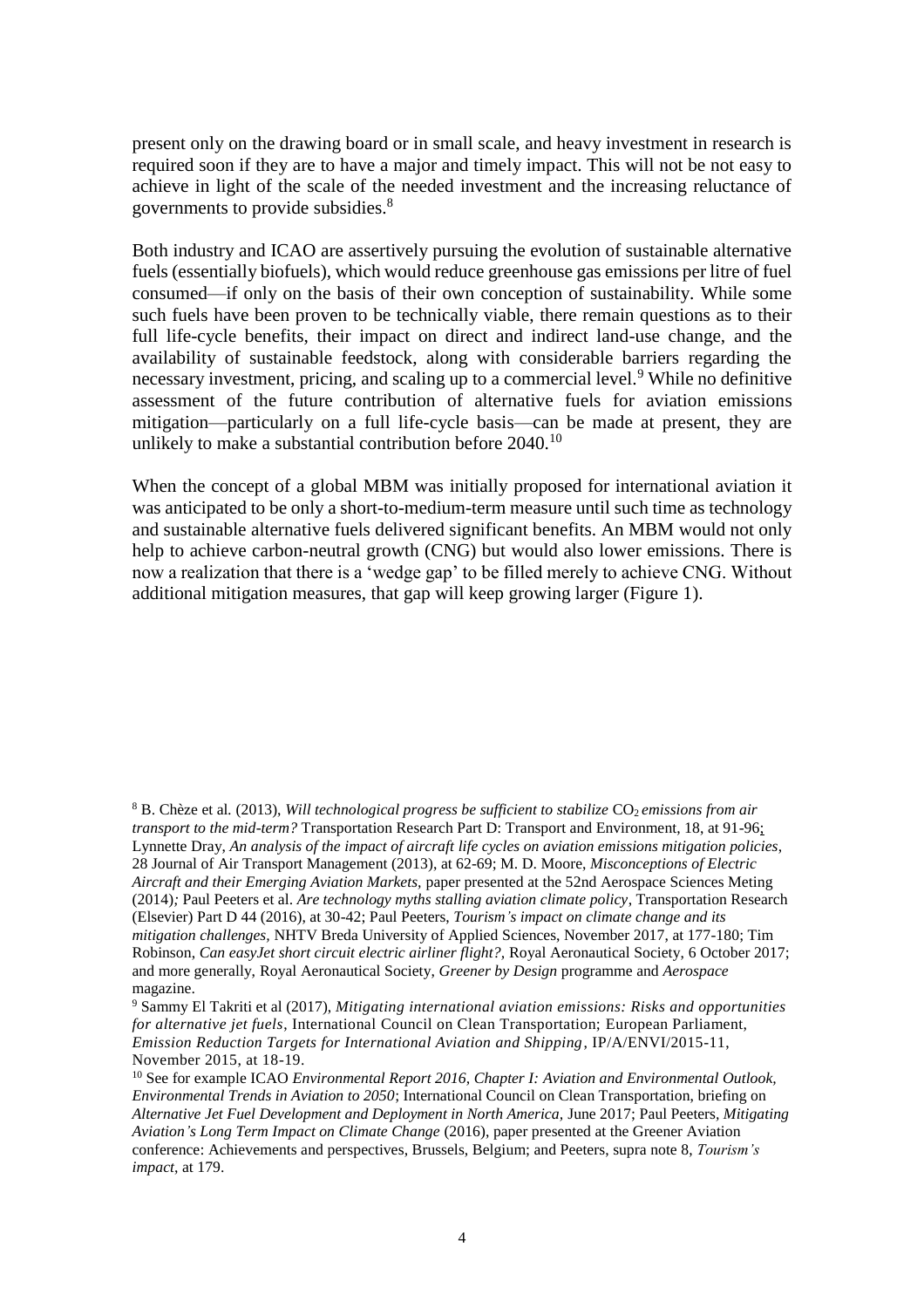present only on the drawing board or in small scale, and heavy investment in research is required soon if they are to have a major and timely impact. This will not be not easy to achieve in light of the scale of the needed investment and the increasing reluctance of governments to provide subsidies.<sup>8</sup>

Both industry and ICAO are assertively pursuing the evolution of sustainable alternative fuels (essentially biofuels), which would reduce greenhouse gas emissions per litre of fuel consumed—if only on the basis of their own conception of sustainability. While some such fuels have been proven to be technically viable, there remain questions as to their full life-cycle benefits, their impact on direct and indirect land-use change, and the availability of sustainable feedstock, along with considerable barriers regarding the necessary investment, pricing, and scaling up to a commercial level.<sup>9</sup> While no definitive assessment of the future contribution of alternative fuels for aviation emissions mitigation—particularly on a full life-cycle basis—can be made at present, they are unlikely to make a substantial contribution before 2040.<sup>10</sup>

When the concept of a global MBM was initially proposed for international aviation it was anticipated to be only a short-to-medium-term measure until such time as technology and sustainable alternative fuels delivered significant benefits. An MBM would not only help to achieve carbon-neutral growth (CNG) but would also lower emissions. There is now a realization that there is a 'wedge gap' to be filled merely to achieve CNG. Without additional mitigation measures, that gap will keep growing larger (Figure 1).

<sup>&</sup>lt;sup>8</sup> B. Chèze et al. (2013), *Will technological progress be sufficient to stabilize* CO<sub>2</sub> *emissions from air transport to the mid-term?* Transportation Research Part D: Transport and Environment, 18, at 91-96; Lynnette Dray, *An analysis of the impact of aircraft life cycles on aviation emissions mitigation policies*, 28 Journal of Air Transport Management (2013), at 62-69; M. D. Moore, *Misconceptions of Electric Aircraft and their Emerging Aviation Markets,* paper presented at the 52nd Aerospace Sciences Meting (2014)*;* Paul Peeters et al. *Are technology myths stalling aviation climate policy*, Transportation Research (Elsevier) Part D 44 (2016), at 30-42; Paul Peeters, *Tourism's impact on climate change and its mitigation challenges,* NHTV Breda University of Applied Sciences, November 2017, at 177-180; Tim Robinson, *Can easyJet short circuit electric airliner flight?,* Royal Aeronautical Society, 6 October 2017; and more generally, Royal Aeronautical Society, *Greener by Design* programme and *Aerospace*  magazine.

<sup>9</sup> Sammy El Takriti et al (2017), *Mitigating international aviation emissions: Risks and opportunities for alternative jet fuels*, International Council on Clean Transportation; European Parliament, *Emission Reduction Targets for International Aviation and Shipping*, IP/A/ENVI/2015-11, November 2015, at 18-19.

<sup>10</sup> See for example ICAO *Environmental Report 2016, Chapter I: Aviation and Environmental Outlook, Environmental Trends in Aviation to 2050*; International Council on Clean Transportation, briefing on *Alternative Jet Fuel Development and Deployment in North America,* June 2017; Paul Peeters*, Mitigating Aviation's Long Term Impact on Climate Change* (2016), paper presented at the Greener Aviation conference: Achievements and perspectives, Brussels, Belgium; and Peeters, supra note 8, *Tourism's impact*, at 179.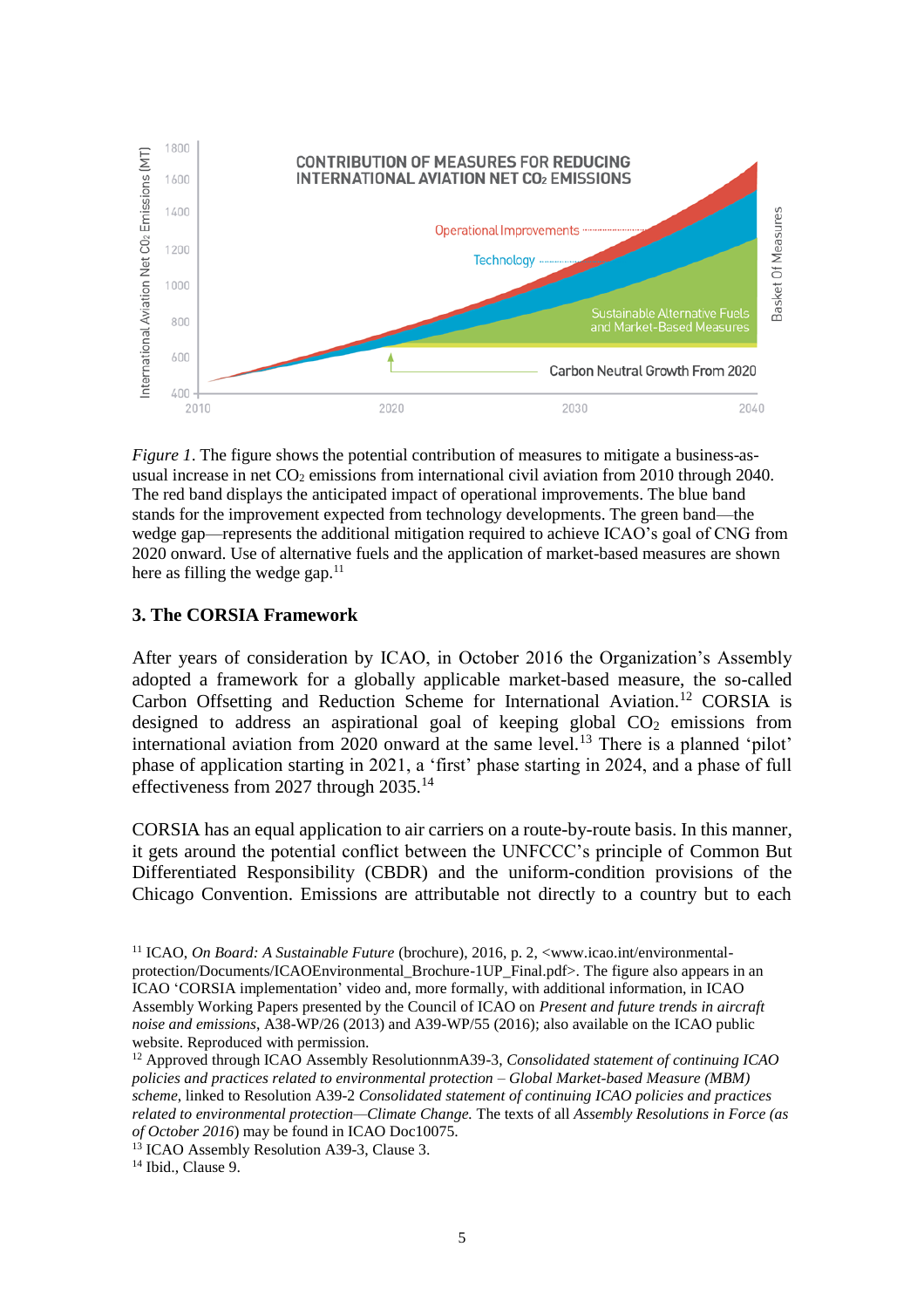

*Figure 1*. The figure shows the potential contribution of measures to mitigate a business-asusual increase in net  $CO<sub>2</sub>$  emissions from international civil aviation from 2010 through 2040. The red band displays the anticipated impact of operational improvements. The blue band stands for the improvement expected from technology developments. The green band—the wedge gap—represents the additional mitigation required to achieve ICAO's goal of CNG from 2020 onward. Use of alternative fuels and the application of market-based measures are shown here as filling the wedge gap. $11$ 

#### **3. The CORSIA Framework**

After years of consideration by ICAO, in October 2016 the Organization's Assembly adopted a framework for a globally applicable market-based measure, the so-called Carbon Offsetting and Reduction Scheme for International Aviation.<sup>12</sup> CORSIA is designed to address an aspirational goal of keeping global  $CO<sub>2</sub>$  emissions from international aviation from 2020 onward at the same level.<sup>13</sup> There is a planned 'pilot' phase of application starting in 2021, a 'first' phase starting in 2024, and a phase of full effectiveness from 2027 through 2035.<sup>14</sup>

CORSIA has an equal application to air carriers on a route-by-route basis. In this manner, it gets around the potential conflict between the UNFCCC's principle of Common But Differentiated Responsibility (CBDR) and the uniform-condition provisions of the Chicago Convention. Emissions are attributable not directly to a country but to each

<sup>14</sup> Ibid., Clause 9.

<sup>&</sup>lt;sup>11</sup> ICAO, *On Board: A Sustainable Future* (brochure), 2016, p. 2, <www.icao.int/environmentalprotection/Documents/ICAOEnvironmental\_Brochure-1UP\_Final.pdf>. The figure also appears in an ICAO 'CORSIA implementation' video and, more formally, with additional information, in ICAO Assembly Working Papers presented by the Council of ICAO on *Present and future trends in aircraft noise and emissions*, A38-WP/26 (2013) and A39-WP/55 (2016); also available on the ICAO public website. Reproduced with permission.

<sup>12</sup> Approved through ICAO Assembly ResolutionnmA39-3, *Consolidated statement of continuing ICAO policies and practices related to environmental protection – Global Market-based Measure (MBM) scheme*, linked to Resolution A39-2 *Consolidated statement of continuing ICAO policies and practices related to environmental protection—Climate Change.* The texts of all *Assembly Resolutions in Force (as of October 2016*) may be found in ICAO Doc10075.

<sup>&</sup>lt;sup>13</sup> ICAO Assembly Resolution A39-3, Clause 3.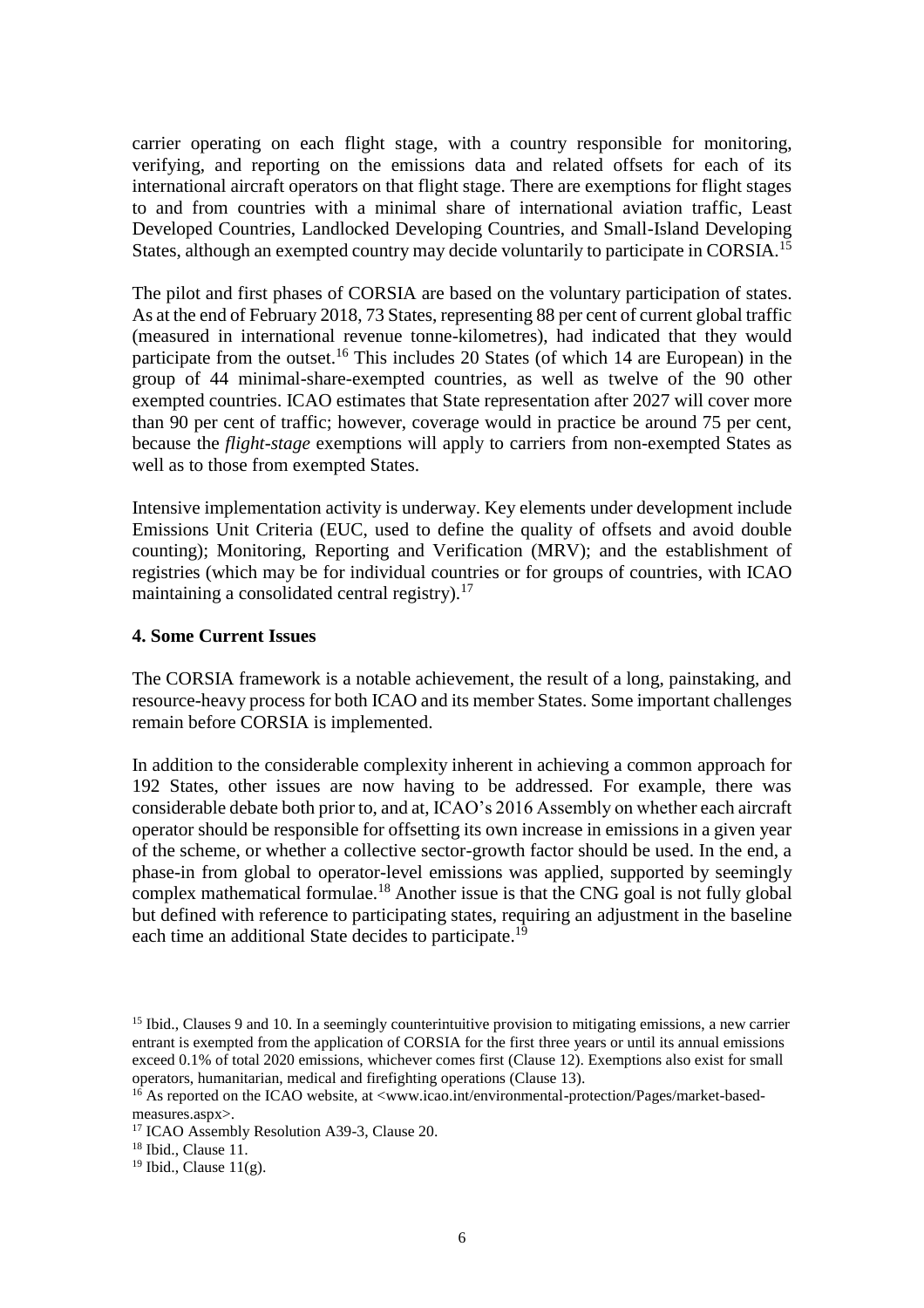carrier operating on each flight stage, with a country responsible for monitoring, verifying, and reporting on the emissions data and related offsets for each of its international aircraft operators on that flight stage. There are exemptions for flight stages to and from countries with a minimal share of international aviation traffic, Least Developed Countries, Landlocked Developing Countries, and Small-Island Developing States, although an exempted country may decide voluntarily to participate in CORSIA.<sup>15</sup>

The pilot and first phases of CORSIA are based on the voluntary participation of states. As at the end of February 2018, 73 States, representing 88 per cent of current global traffic (measured in international revenue tonne-kilometres), had indicated that they would participate from the outset.<sup>16</sup> This includes 20 States (of which 14 are European) in the group of 44 minimal-share-exempted countries, as well as twelve of the 90 other exempted countries. ICAO estimates that State representation after 2027 will cover more than 90 per cent of traffic; however, coverage would in practice be around 75 per cent, because the *flight-stage* exemptions will apply to carriers from non-exempted States as well as to those from exempted States.

Intensive implementation activity is underway. Key elements under development include Emissions Unit Criteria (EUC, used to define the quality of offsets and avoid double counting); Monitoring, Reporting and Verification (MRV); and the establishment of registries (which may be for individual countries or for groups of countries, with ICAO maintaining a consolidated central registry).<sup>17</sup>

## **4. Some Current Issues**

The CORSIA framework is a notable achievement, the result of a long, painstaking, and resource-heavy process for both ICAO and its member States. Some important challenges remain before CORSIA is implemented.

In addition to the considerable complexity inherent in achieving a common approach for 192 States, other issues are now having to be addressed. For example, there was considerable debate both prior to, and at, ICAO's 2016 Assembly on whether each aircraft operator should be responsible for offsetting its own increase in emissions in a given year of the scheme, or whether a collective sector-growth factor should be used. In the end, a phase-in from global to operator-level emissions was applied, supported by seemingly complex mathematical formulae.<sup>18</sup> Another issue is that the CNG goal is not fully global but defined with reference to participating states, requiring an adjustment in the baseline each time an additional State decides to participate.<sup>19</sup>

 $18$  Ibid., Clause 11.

<sup>15</sup> Ibid., Clauses 9 and 10. In a seemingly counterintuitive provision to mitigating emissions, a new carrier entrant is exempted from the application of CORSIA for the first three years or until its annual emissions exceed 0.1% of total 2020 emissions, whichever comes first (Clause 12). Exemptions also exist for small operators, humanitarian, medical and firefighting operations (Clause 13).

<sup>&</sup>lt;sup>16</sup> As reported on the ICAO website, at <www.icao.int/environmental-protection/Pages/market-basedmeasures.aspx>.

<sup>&</sup>lt;sup>17</sup> ICAO Assembly Resolution A39-3, Clause 20.

 $19$  Ibid., Clause  $11(g)$ .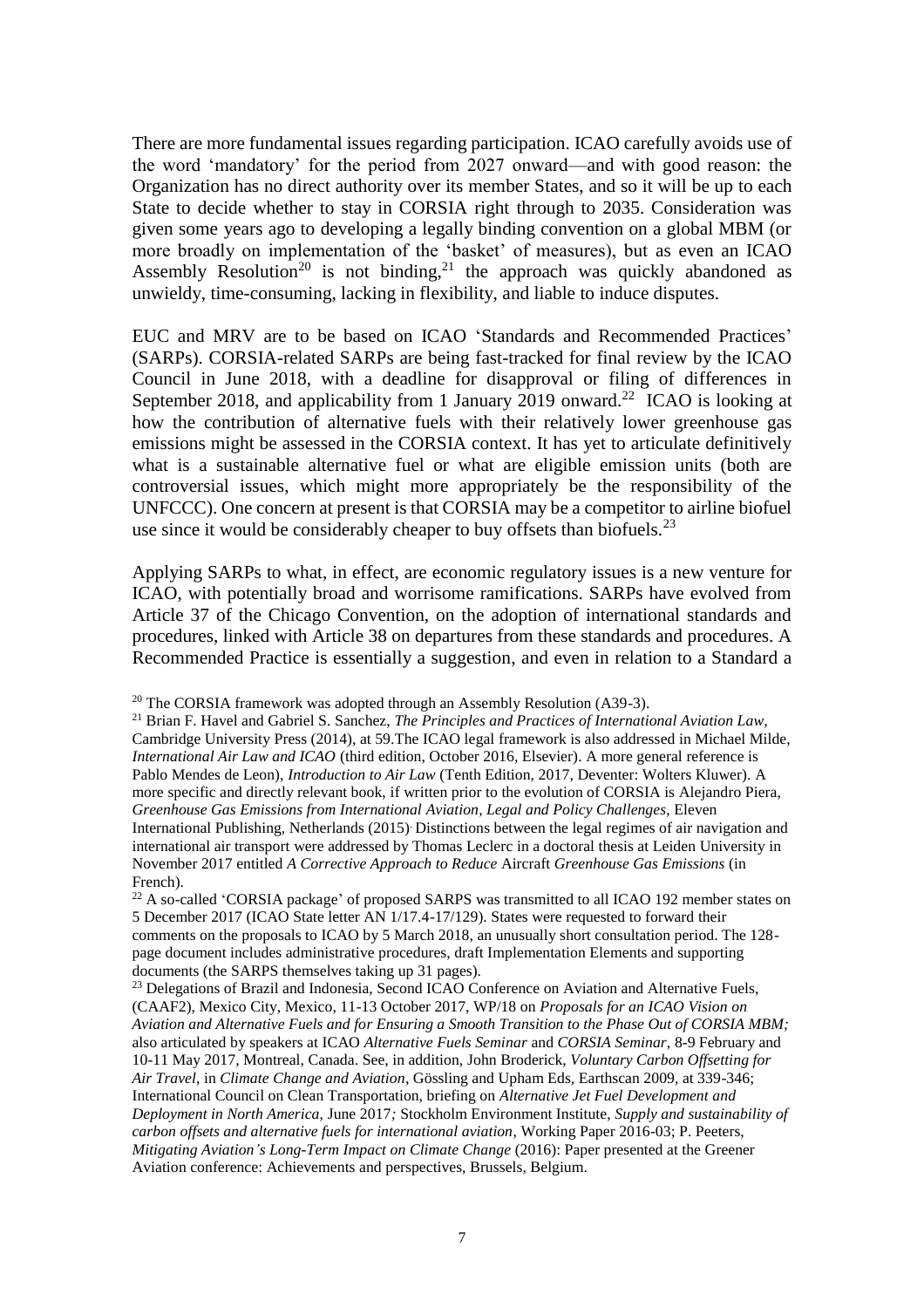There are more fundamental issues regarding participation. ICAO carefully avoids use of the word 'mandatory' for the period from 2027 onward—and with good reason: the Organization has no direct authority over its member States, and so it will be up to each State to decide whether to stay in CORSIA right through to 2035. Consideration was given some years ago to developing a legally binding convention on a global MBM (or more broadly on implementation of the 'basket' of measures), but as even an ICAO Assembly Resolution<sup>20</sup> is not binding,<sup>21</sup> the approach was quickly abandoned as unwieldy, time-consuming, lacking in flexibility, and liable to induce disputes.

EUC and MRV are to be based on ICAO 'Standards and Recommended Practices' (SARPs). CORSIA-related SARPs are being fast-tracked for final review by the ICAO Council in June 2018, with a deadline for disapproval or filing of differences in September 2018, and applicability from 1 January 2019 onward.<sup>22</sup> ICAO is looking at how the contribution of alternative fuels with their relatively lower greenhouse gas emissions might be assessed in the CORSIA context. It has yet to articulate definitively what is a sustainable alternative fuel or what are eligible emission units (both are controversial issues, which might more appropriately be the responsibility of the UNFCCC). One concern at present is that CORSIA may be a competitor to airline biofuel use since it would be considerably cheaper to buy offsets than biofuels.<sup>23</sup>

Applying SARPs to what, in effect, are economic regulatory issues is a new venture for ICAO, with potentially broad and worrisome ramifications. SARPs have evolved from Article 37 of the Chicago Convention, on the adoption of international standards and procedures, linked with Article 38 on departures from these standards and procedures. A Recommended Practice is essentially a suggestion, and even in relation to a Standard a

 $20$  The CORSIA framework was adopted through an Assembly Resolution (A39-3).

<sup>21</sup> Brian F. Havel and Gabriel S. Sanchez, *The Principles and Practices of International Aviation Law,*  Cambridge University Press (2014), at 59*.*The ICAO legal framework is also addressed in Michael Milde, *International Air Law and ICAO* (third edition, October 2016, Elsevier). A more general reference is Pablo Mendes de Leon), *Introduction to Air Law* (Tenth Edition, 2017, Deventer: Wolters Kluwer). A more specific and directly relevant book, if written prior to the evolution of CORSIA is Alejandro Piera*, Greenhouse Gas Emissions from International Aviation, Legal and Policy Challenges*, Eleven International Publishing, Netherlands (2015). Distinctions between the legal regimes of air navigation and international air transport were addressed by Thomas Leclerc in a doctoral thesis at Leiden University in November 2017 entitled *A Corrective Approach to Reduce* Aircraft *Greenhouse Gas Emissions* (in French).

 $^{22}$  A so-called 'CORSIA package' of proposed SARPS was transmitted to all ICAO 192 member states on 5 December 2017 (ICAO State letter AN 1/17.4-17/129). States were requested to forward their comments on the proposals to ICAO by 5 March 2018, an unusually short consultation period. The 128 page document includes administrative procedures, draft Implementation Elements and supporting documents (the SARPS themselves taking up 31 pages).

<sup>23</sup> Delegations of Brazil and Indonesia, Second ICAO Conference on Aviation and Alternative Fuels, (CAAF2), Mexico City, Mexico, 11-13 October 2017, WP/18 on *Proposals for an ICAO Vision on Aviation and Alternative Fuels and for Ensuring a Smooth Transition to the Phase Out of CORSIA MBM;*  also articulated by speakers at ICAO *Alternative Fuels Seminar* and *CORSIA Seminar,* 8-9 February and 10-11 May 2017, Montreal, Canada. See, in addition, John Broderick, *Voluntary Carbon Offsetting for Air Travel*, in *Climate Change and Aviation*, Gössling and Upham Eds, Earthscan 2009, at 339-346; International Council on Clean Transportation, briefing on *Alternative Jet Fuel Development and Deployment in North America,* June 2017*;* Stockholm Environment Institute, *Supply and sustainability of carbon offsets and alternative fuels for international aviation*, Working Paper 2016-03; P. Peeters, *Mitigating Aviation's Long-Term Impact on Climate Change* (2016): Paper presented at the Greener Aviation conference: Achievements and perspectives, Brussels, Belgium.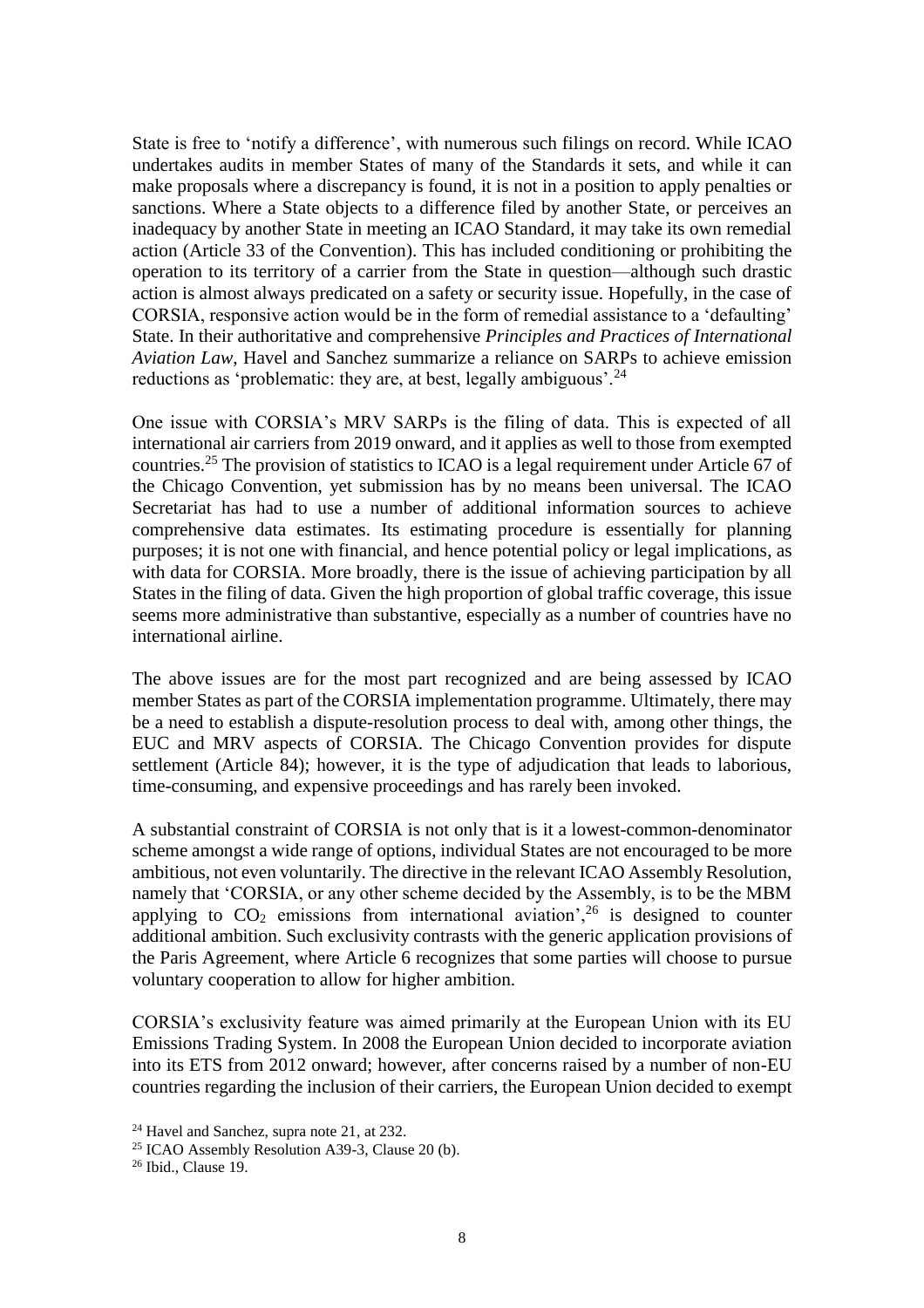State is free to 'notify a difference', with numerous such filings on record. While ICAO undertakes audits in member States of many of the Standards it sets, and while it can make proposals where a discrepancy is found, it is not in a position to apply penalties or sanctions. Where a State objects to a difference filed by another State, or perceives an inadequacy by another State in meeting an ICAO Standard, it may take its own remedial action (Article 33 of the Convention). This has included conditioning or prohibiting the operation to its territory of a carrier from the State in question—although such drastic action is almost always predicated on a safety or security issue. Hopefully, in the case of CORSIA, responsive action would be in the form of remedial assistance to a 'defaulting' State. In their authoritative and comprehensive *Principles and Practices of International Aviation Law*, Havel and Sanchez summarize a reliance on SARPs to achieve emission reductions as 'problematic: they are, at best, legally ambiguous'.<sup>24</sup>

One issue with CORSIA's MRV SARPs is the filing of data. This is expected of all international air carriers from 2019 onward, and it applies as well to those from exempted countries.<sup>25</sup> The provision of statistics to ICAO is a legal requirement under Article 67 of the Chicago Convention, yet submission has by no means been universal. The ICAO Secretariat has had to use a number of additional information sources to achieve comprehensive data estimates. Its estimating procedure is essentially for planning purposes; it is not one with financial, and hence potential policy or legal implications, as with data for CORSIA. More broadly, there is the issue of achieving participation by all States in the filing of data. Given the high proportion of global traffic coverage, this issue seems more administrative than substantive, especially as a number of countries have no international airline.

The above issues are for the most part recognized and are being assessed by ICAO member States as part of the CORSIA implementation programme. Ultimately, there may be a need to establish a dispute-resolution process to deal with, among other things, the EUC and MRV aspects of CORSIA. The Chicago Convention provides for dispute settlement (Article 84); however, it is the type of adjudication that leads to laborious, time-consuming, and expensive proceedings and has rarely been invoked.

A substantial constraint of CORSIA is not only that is it a lowest-common-denominator scheme amongst a wide range of options, individual States are not encouraged to be more ambitious, not even voluntarily. The directive in the relevant ICAO Assembly Resolution, namely that 'CORSIA, or any other scheme decided by the Assembly, is to be the MBM applying to  $CO<sub>2</sub>$  emissions from international aviation',<sup>26</sup> is designed to counter additional ambition. Such exclusivity contrasts with the generic application provisions of the Paris Agreement, where Article 6 recognizes that some parties will choose to pursue voluntary cooperation to allow for higher ambition.

CORSIA's exclusivity feature was aimed primarily at the European Union with its EU Emissions Trading System. In 2008 the European Union decided to incorporate aviation into its ETS from 2012 onward; however, after concerns raised by a number of non-EU countries regarding the inclusion of their carriers, the European Union decided to exempt

<sup>24</sup> Havel and Sanchez, supra note 21, at 232.

 $25$  ICAO Assembly Resolution A39-3, Clause 20 (b).

<sup>26</sup> Ibid., Clause 19.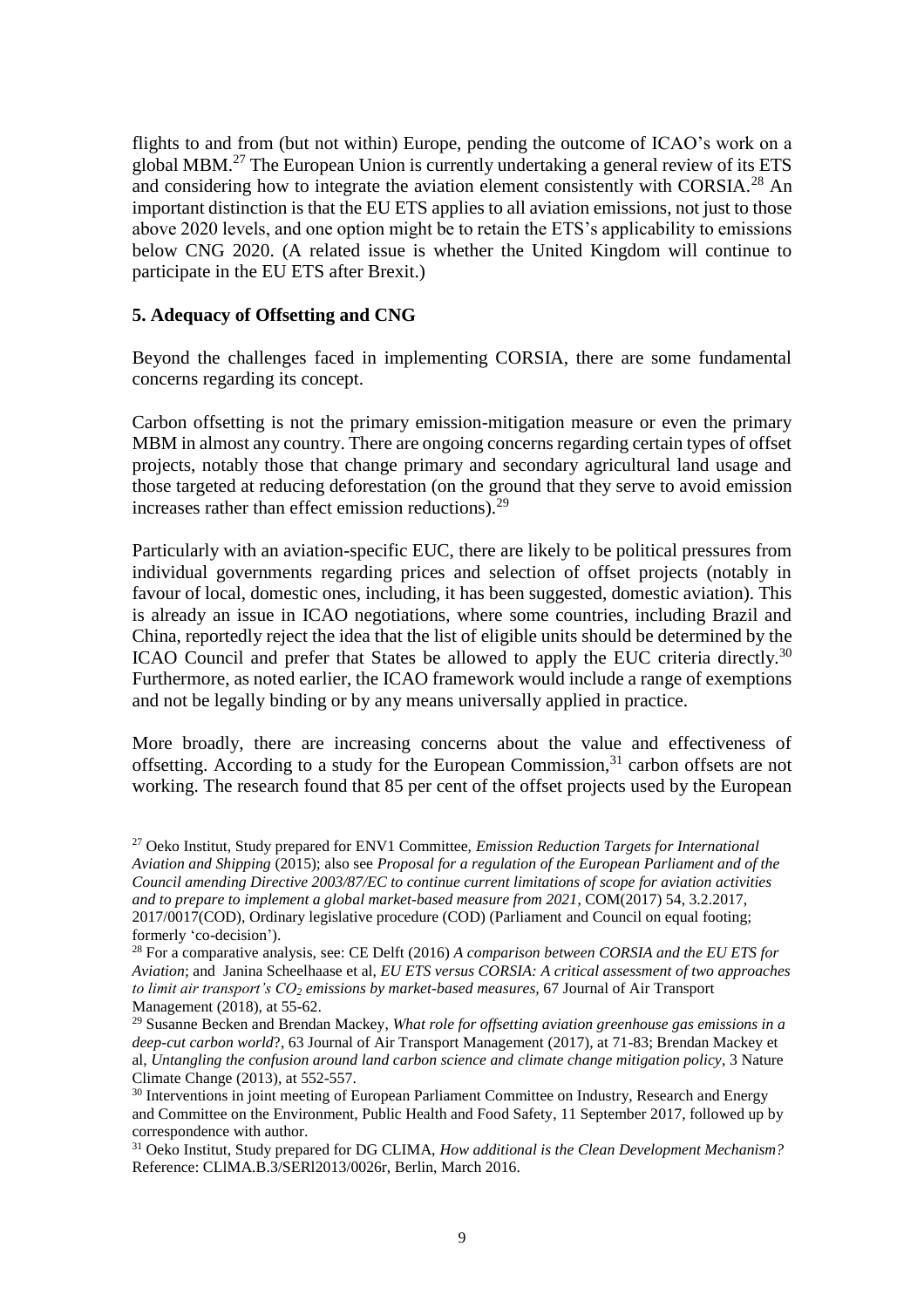flights to and from (but not within) Europe, pending the outcome of ICAO's work on a global MBM.<sup>27</sup> The European Union is currently undertaking a general review of its ETS and considering how to integrate the aviation element consistently with CORSIA.<sup>28</sup> An important distinction is that the EU ETS applies to all aviation emissions, not just to those above 2020 levels, and one option might be to retain the ETS's applicability to emissions below CNG 2020. (A related issue is whether the United Kingdom will continue to participate in the EU ETS after Brexit.)

## **5. Adequacy of Offsetting and CNG**

Beyond the challenges faced in implementing CORSIA, there are some fundamental concerns regarding its concept.

Carbon offsetting is not the primary emission-mitigation measure or even the primary MBM in almost any country. There are ongoing concerns regarding certain types of offset projects, notably those that change primary and secondary agricultural land usage and those targeted at reducing deforestation (on the ground that they serve to avoid emission increases rather than effect emission reductions). $^{29}$ 

Particularly with an aviation-specific EUC, there are likely to be political pressures from individual governments regarding prices and selection of offset projects (notably in favour of local, domestic ones, including, it has been suggested, domestic aviation). This is already an issue in ICAO negotiations, where some countries, including Brazil and China, reportedly reject the idea that the list of eligible units should be determined by the ICAO Council and prefer that States be allowed to apply the EUC criteria directly.<sup>30</sup> Furthermore, as noted earlier, the ICAO framework would include a range of exemptions and not be legally binding or by any means universally applied in practice.

More broadly, there are increasing concerns about the value and effectiveness of offsetting. According to a study for the European Commission, $31$  carbon offsets are not working. The research found that 85 per cent of the offset projects used by the European

<sup>27</sup> Oeko Institut, Study prepared for ENV1 Committee, *Emission Reduction Targets for International Aviation and Shipping* (2015); also see *Proposal for a regulation of the European Parliament and of the Council amending Directive 2003/87/EC to continue current limitations of scope for aviation activities and to prepare to implement a global market-based measure from 2021*, COM(2017) 54, 3.2.2017, 2017/0017(COD), Ordinary legislative procedure (COD) (Parliament and Council on equal footing; formerly 'co-decision').

<sup>28</sup> For a comparative analysis, see: CE Delft (2016) *A comparison between CORSIA and the EU ETS for Aviation*; and Janina Scheelhaase et al, *EU ETS versus CORSIA: A critical assessment of two approaches to limit air transport's CO<sup>2</sup> emissions by market-based measures,* 67 Journal of Air Transport Management (2018), at 55-62.

<sup>29</sup> Susanne Becken and Brendan Mackey, *What role for offsetting aviation greenhouse gas emissions in a deep-cut carbon world*?, 63 Journal of Air Transport Management (2017), at 71-83; Brendan Mackey et al, *Untangling the confusion around land carbon science and climate change mitigation policy*, 3 Nature Climate Change (2013), at 552-557.

<sup>&</sup>lt;sup>30</sup> Interventions in joint meeting of European Parliament Committee on Industry, Research and Energy and Committee on the Environment, Public Health and Food Safety, 11 September 2017, followed up by correspondence with author.

<sup>31</sup> Oeko Institut, Study prepared for DG CLIMA, *How additional is the Clean Development Mechanism?* Reference: CLlMA.B.3/SERl2013/0026r, Berlin, March 2016.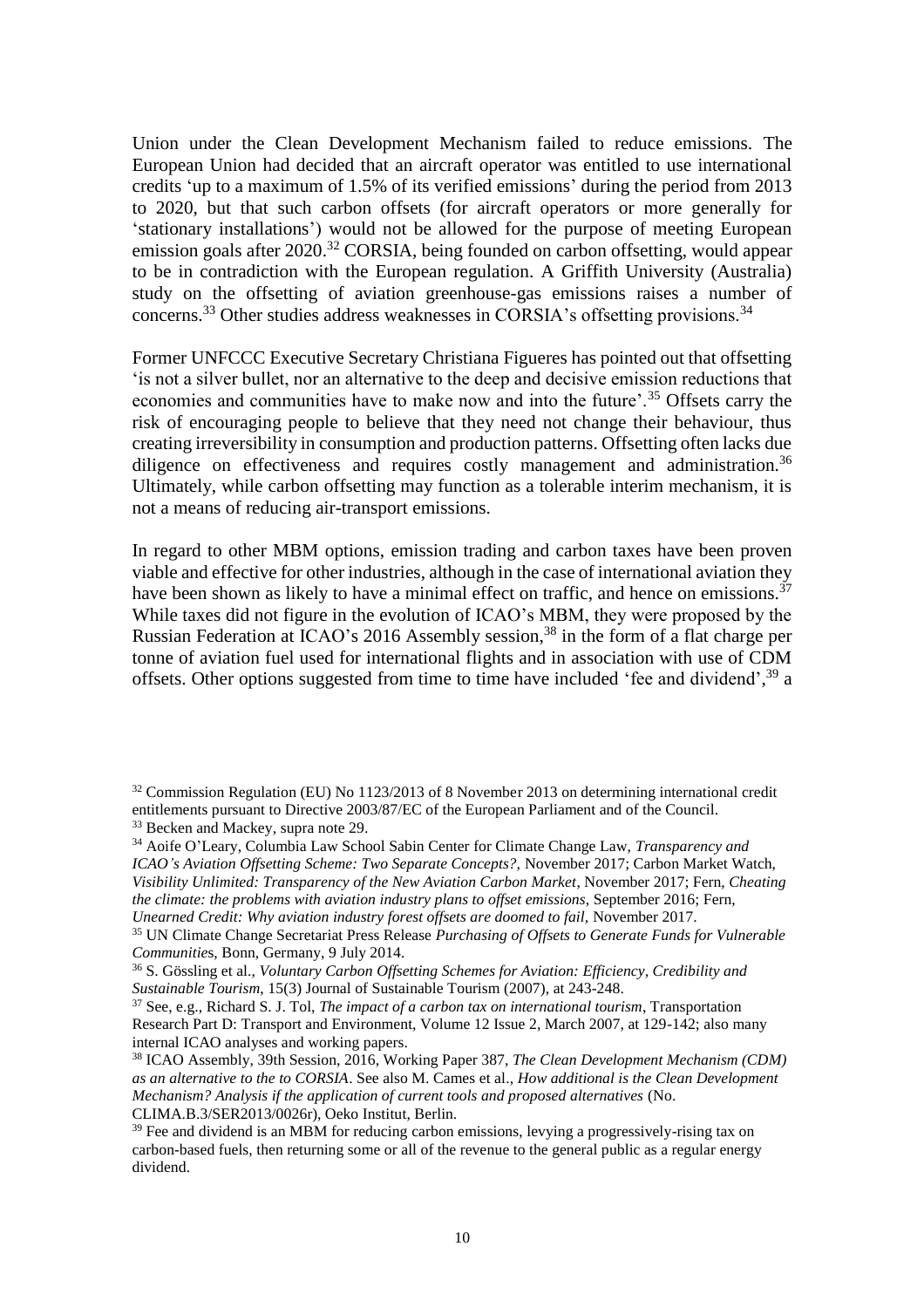Union under the Clean Development Mechanism failed to reduce emissions. The European Union had decided that an aircraft operator was entitled to use international credits 'up to a maximum of 1.5% of its verified emissions' during the period from 2013 to 2020, but that such carbon offsets (for aircraft operators or more generally for 'stationary installations') would not be allowed for the purpose of meeting European emission goals after 2020.<sup>32</sup> CORSIA, being founded on carbon offsetting, would appear to be in contradiction with the European regulation. A Griffith University (Australia) study on the offsetting of aviation greenhouse-gas emissions raises a number of concerns.<sup>33</sup> Other studies address weaknesses in CORSIA's offsetting provisions.<sup>34</sup>

Former UNFCCC Executive Secretary Christiana Figueres has pointed out that offsetting 'is not a silver bullet, nor an alternative to the deep and decisive emission reductions that economies and communities have to make now and into the future'.<sup>35</sup> Offsets carry the risk of encouraging people to believe that they need not change their behaviour, thus creating irreversibility in consumption and production patterns. Offsetting often lacks due diligence on effectiveness and requires costly management and administration.<sup>36</sup> Ultimately, while carbon offsetting may function as a tolerable interim mechanism, it is not a means of reducing air-transport emissions.

In regard to other MBM options, emission trading and carbon taxes have been proven viable and effective for other industries, although in the case of international aviation they have been shown as likely to have a minimal effect on traffic, and hence on emissions.<sup>37</sup> While taxes did not figure in the evolution of ICAO's MBM, they were proposed by the Russian Federation at ICAO's 2016 Assembly session,<sup>38</sup> in the form of a flat charge per tonne of aviation fuel used for international flights and in association with use of CDM offsets. Other options suggested from time to time have included 'fee and dividend',<sup>39</sup> a

<sup>&</sup>lt;sup>32</sup> Commission Regulation (EU) No 1123/2013 of 8 November 2013 on determining international credit entitlements pursuant to Directive 2003/87/EC of the European Parliament and of the Council. <sup>33</sup> Becken and Mackey*,* supra note 29.

<sup>34</sup> Aoife O'Leary, Columbia Law School Sabin Center for Climate Change Law, *Transparency and ICAO's Aviation Offsetting Scheme: Two Separate Concepts?,* November 2017; Carbon Market Watch, *Visibility Unlimited: Transparency of the New Aviation Carbon Market*, November 2017; Fern, *Cheating the climate: the problems with aviation industry plans to offset emissions*, September 2016; Fern, *Unearned Credit: Why aviation industry forest offsets are doomed to fail,* November 2017.

<sup>35</sup> UN Climate Change Secretariat Press Release *Purchasing of Offsets to Generate Funds for Vulnerable Communitie*s, Bonn, Germany, 9 July 2014.

<sup>36</sup> S. Gössling et al., *Voluntary Carbon Offsetting Schemes for Aviation: Efficiency, Credibility and Sustainable Tourism*, 15(3) Journal of Sustainable Tourism (2007), at 243-248.

<sup>37</sup> See, e.g., Richard S. J. Tol, *The impact of a carbon tax on international tourism*, Transportation Research Part D: Transport and Environment, Volume 12 Issue 2, March 2007, at 129-142; also many internal ICAO analyses and working papers.

<sup>38</sup> ICAO Assembly, 39th Session, 2016, Working Paper 387, *The Clean Development Mechanism (CDM) as an alternative to the to CORSIA*. See also M. Cames et al., *How additional is the Clean Development Mechanism? Analysis if the application of current tools and proposed alternatives* (No. CLIMA.B.3/SER2013/0026r), Oeko Institut, Berlin.

 $39$  Fee and dividend is an MBM for reducing carbon emissions, levying a progressively-rising tax on carbon-based fuels, then returning some or all of the revenue to the general public as a regular energy dividend.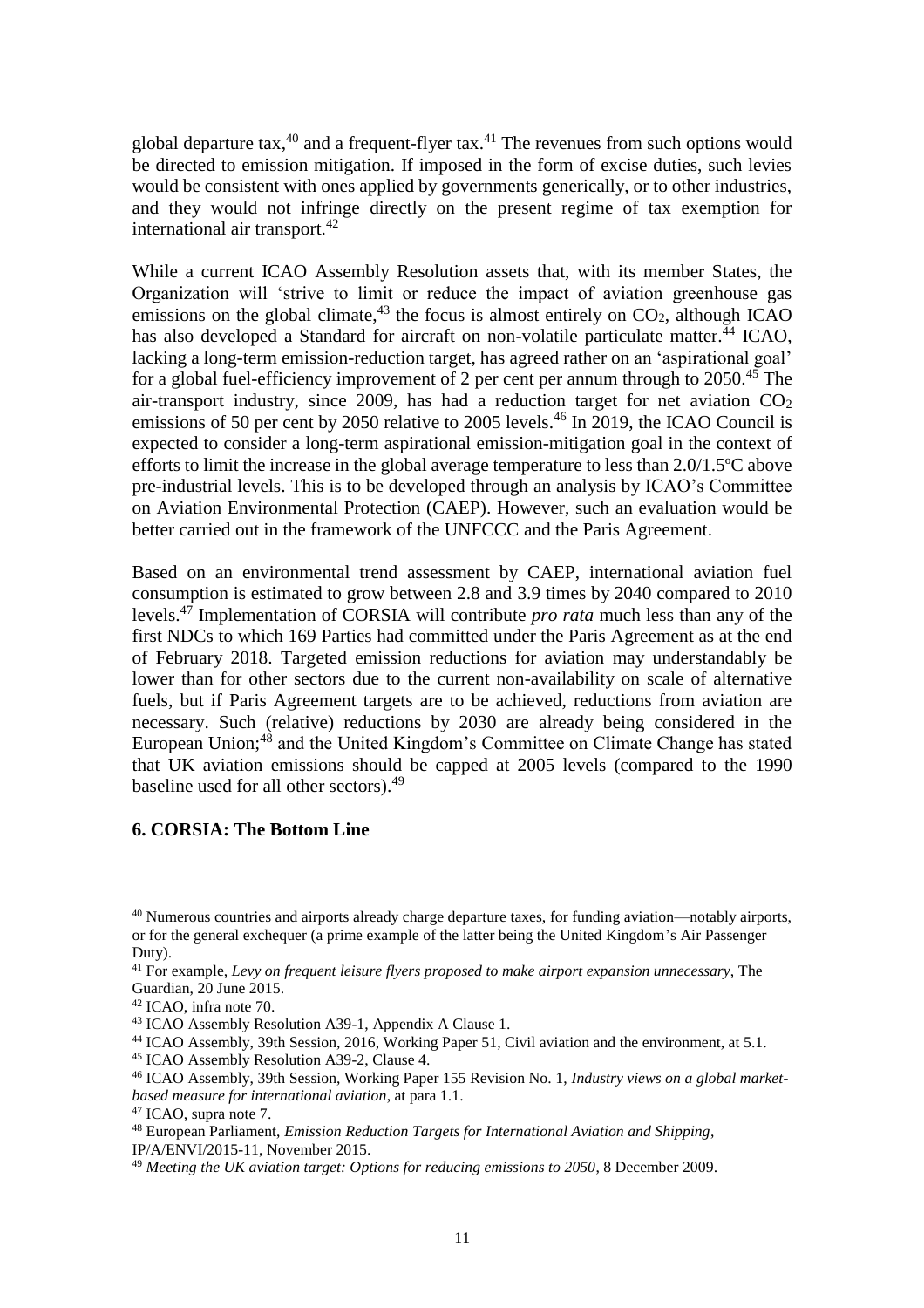global departure tax, $40$  and a frequent-flyer tax. $41$  The revenues from such options would be directed to emission mitigation. If imposed in the form of excise duties, such levies would be consistent with ones applied by governments generically, or to other industries, and they would not infringe directly on the present regime of tax exemption for international air transport.<sup>42</sup>

While a current ICAO Assembly Resolution assets that, with its member States, the Organization will 'strive to limit or reduce the impact of aviation greenhouse gas emissions on the global climate,  $43$  the focus is almost entirely on  $CO<sub>2</sub>$ , although ICAO has also developed a Standard for aircraft on non-volatile particulate matter.<sup>44</sup> ICAO, lacking a long-term emission-reduction target, has agreed rather on an 'aspirational goal' for a global fuel-efficiency improvement of 2 per cent per annum through to  $2050^{45}$ . The air-transport industry, since 2009, has had a reduction target for net aviation  $CO<sub>2</sub>$ emissions of 50 per cent by 2050 relative to 2005 levels.<sup>46</sup> In 2019, the ICAO Council is expected to consider a long-term aspirational emission-mitigation goal in the context of efforts to limit the increase in the global average temperature to less than 2.0/1.5ºC above pre-industrial levels. This is to be developed through an analysis by ICAO's Committee on Aviation Environmental Protection (CAEP). However, such an evaluation would be better carried out in the framework of the UNFCCC and the Paris Agreement.

Based on an environmental trend assessment by CAEP, international aviation fuel consumption is estimated to grow between 2.8 and 3.9 times by 2040 compared to 2010 levels.<sup>47</sup> Implementation of CORSIA will contribute *pro rata* much less than any of the first NDCs to which 169 Parties had committed under the Paris Agreement as at the end of February 2018. Targeted emission reductions for aviation may understandably be lower than for other sectors due to the current non-availability on scale of alternative fuels, but if Paris Agreement targets are to be achieved, reductions from aviation are necessary. Such (relative) reductions by 2030 are already being considered in the European Union;<sup>48</sup> and the United Kingdom's Committee on Climate Change has stated that UK aviation emissions should be capped at 2005 levels (compared to the 1990 baseline used for all other sectors).<sup>49</sup>

#### **6. CORSIA: The Bottom Line**

<sup>40</sup> Numerous countries and airports already charge departure taxes, for funding aviation—notably airports, or for the general exchequer (a prime example of the latter being the United Kingdom's Air Passenger Duty).

<sup>41</sup> For example, *Levy on frequent leisure flyers proposed to make airport expansion unnecessary*, The Guardian, 20 June 2015.

<sup>42</sup> ICAO, infra note 70.

<sup>43</sup> ICAO Assembly Resolution A39-1, Appendix A Clause 1.

<sup>&</sup>lt;sup>44</sup> ICAO Assembly, 39th Session, 2016, Working Paper 51, Civil aviation and the environment, at 5.1.

<sup>45</sup> ICAO Assembly Resolution A39-2, Clause 4.

<sup>46</sup> ICAO Assembly, 39th Session, Working Paper 155 Revision No. 1, *Industry views on a global marketbased measure for international aviation*, at para 1.1.

<sup>47</sup> ICAO, supra note 7.

<sup>48</sup> European Parliament, *Emission Reduction Targets for International Aviation and Shipping*, IP/A/ENVI/2015-11, November 2015.

<sup>49</sup> *Meeting the UK aviation target: Options for reducing emissions to 2050*, 8 December 2009.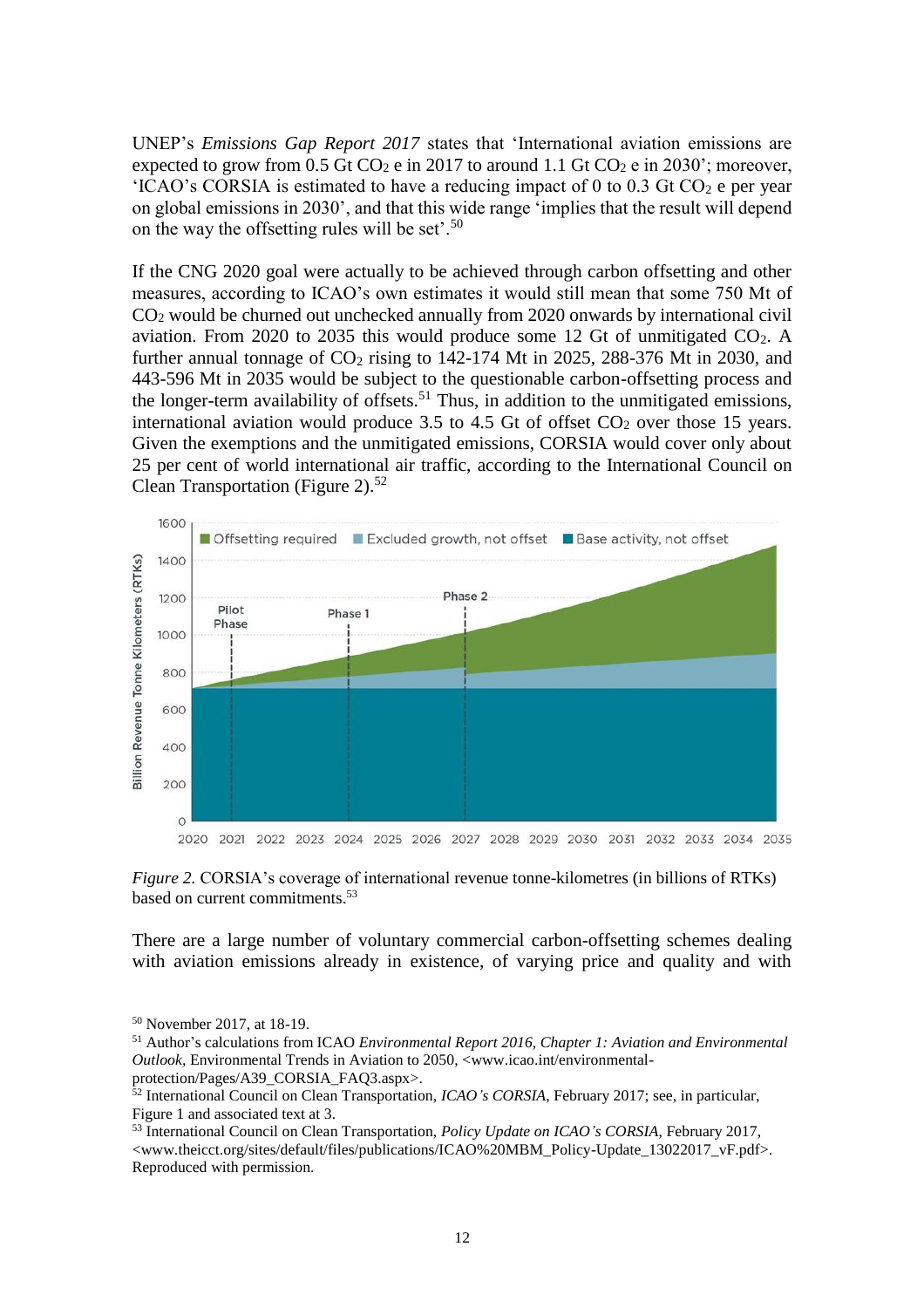UNEP's *Emissions Gap Report 2017* states that 'International aviation emissions are expected to grow from 0.5 Gt CO<sub>2</sub> e in 2017 to around 1.1 Gt CO<sub>2</sub> e in 2030'; moreover, 'ICAO's CORSIA is estimated to have a reducing impact of 0 to 0.3 Gt  $CO<sub>2</sub>$  e per year on global emissions in 2030', and that this wide range 'implies that the result will depend on the way the offsetting rules will be set'.<sup>50</sup>

If the CNG 2020 goal were actually to be achieved through carbon offsetting and other measures, according to ICAO's own estimates it would still mean that some 750 Mt of CO<sup>2</sup> would be churned out unchecked annually from 2020 onwards by international civil aviation. From 2020 to 2035 this would produce some 12 Gt of unmitigated  $CO<sub>2</sub>$ . A further annual tonnage of  $CO<sub>2</sub>$  rising to 142-174 Mt in 2025, 288-376 Mt in 2030, and 443-596 Mt in 2035 would be subject to the questionable carbon-offsetting process and the longer-term availability of offsets.<sup>51</sup> Thus, in addition to the unmitigated emissions, international aviation would produce 3.5 to 4.5 Gt of offset  $CO<sub>2</sub>$  over those 15 years. Given the exemptions and the unmitigated emissions, CORSIA would cover only about 25 per cent of world international air traffic, according to the International Council on Clean Transportation (Figure 2).<sup>52</sup>



*Figure 2.* CORSIA's coverage of international revenue tonne-kilometres (in billions of RTKs) based on current commitments.<sup>53</sup>

There are a large number of voluntary commercial carbon-offsetting schemes dealing with aviation emissions already in existence, of varying price and quality and with

<sup>50</sup> November 2017, at 18-19.

<sup>51</sup> Author's calculations from ICAO *Environmental Report 2016, Chapter 1: Aviation and Environmental Outlook,* Environmental Trends in Aviation to 2050, <www.icao.int/environmentalprotection/Pages/A39\_CORSIA\_FAQ3.aspx>.

<sup>52</sup> International Council on Clean Transportation, *ICAO's CORSIA*, February 2017; see, in particular, Figure 1 and associated text at 3.

<sup>53</sup> International Council on Clean Transportation, *Policy Update on ICAO's CORSIA*, February 2017, <www.theicct.org/sites/default/files/publications/ICAO%20MBM\_Policy-Update\_13022017\_vF.pdf>. Reproduced with permission.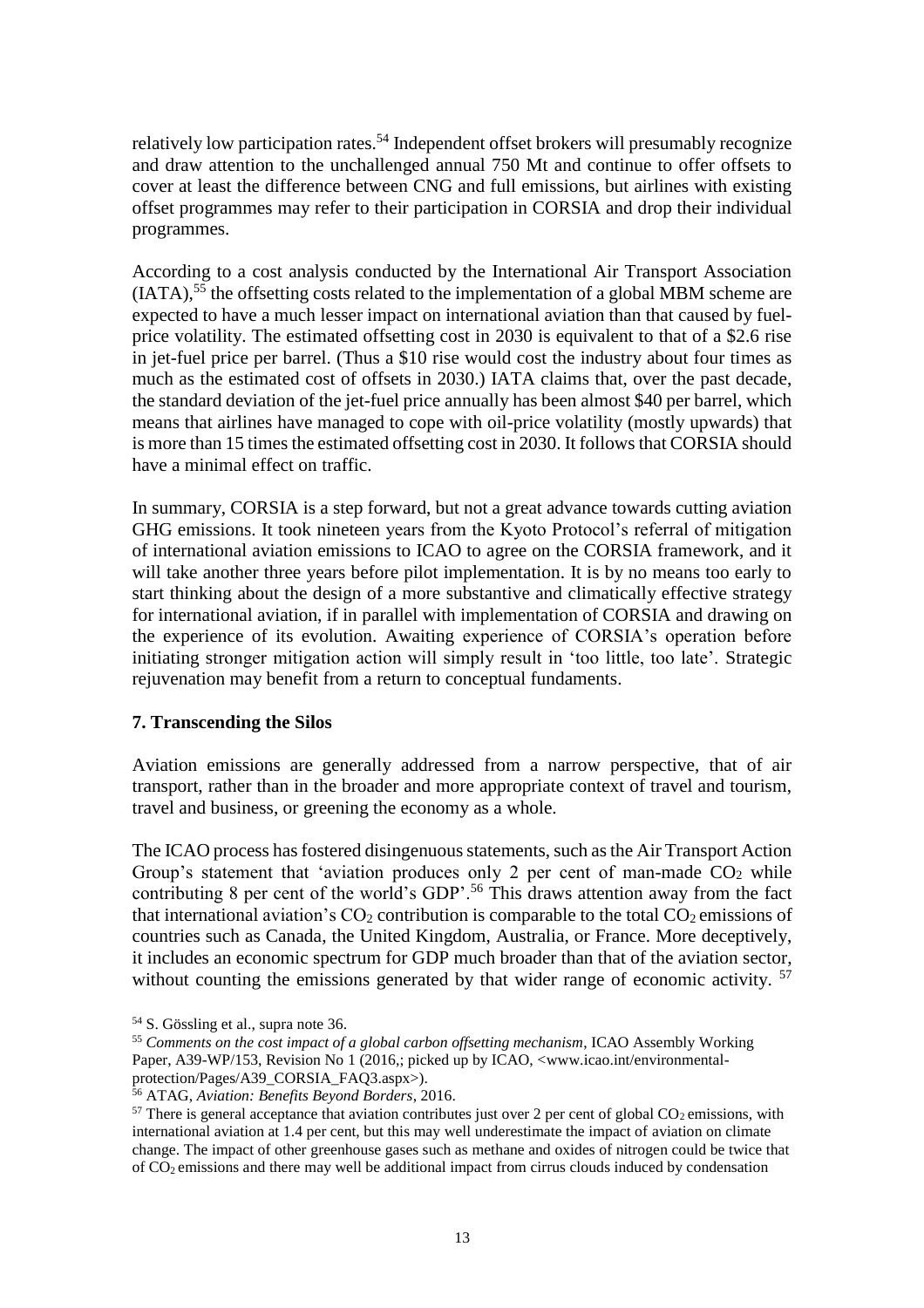relatively low participation rates.<sup>54</sup> Independent offset brokers will presumably recognize and draw attention to the unchallenged annual 750 Mt and continue to offer offsets to cover at least the difference between CNG and full emissions, but airlines with existing offset programmes may refer to their participation in CORSIA and drop their individual programmes.

According to a cost analysis conducted by the International Air Transport Association  $(IATA)$ ,<sup>55</sup> the offsetting costs related to the implementation of a global MBM scheme are expected to have a much lesser impact on international aviation than that caused by fuelprice volatility. The estimated offsetting cost in 2030 is equivalent to that of a \$2.6 rise in jet-fuel price per barrel. (Thus a \$10 rise would cost the industry about four times as much as the estimated cost of offsets in 2030.) IATA claims that, over the past decade, the standard deviation of the jet-fuel price annually has been almost \$40 per barrel, which means that airlines have managed to cope with oil-price volatility (mostly upwards) that is more than 15 times the estimated offsetting cost in 2030. It follows that CORSIA should have a minimal effect on traffic.

In summary, CORSIA is a step forward, but not a great advance towards cutting aviation GHG emissions. It took nineteen years from the Kyoto Protocol's referral of mitigation of international aviation emissions to ICAO to agree on the CORSIA framework, and it will take another three years before pilot implementation. It is by no means too early to start thinking about the design of a more substantive and climatically effective strategy for international aviation, if in parallel with implementation of CORSIA and drawing on the experience of its evolution. Awaiting experience of CORSIA's operation before initiating stronger mitigation action will simply result in 'too little, too late'. Strategic rejuvenation may benefit from a return to conceptual fundaments.

## **7. Transcending the Silos**

Aviation emissions are generally addressed from a narrow perspective, that of air transport, rather than in the broader and more appropriate context of travel and tourism, travel and business, or greening the economy as a whole.

The ICAO process has fostered disingenuous statements, such as the Air Transport Action Group's statement that 'aviation produces only 2 per cent of man-made  $CO<sub>2</sub>$  while contributing 8 per cent of the world's GDP'.<sup>56</sup> This draws attention away from the fact that international aviation's  $CO<sub>2</sub>$  contribution is comparable to the total  $CO<sub>2</sub>$  emissions of countries such as Canada, the United Kingdom, Australia, or France. More deceptively, it includes an economic spectrum for GDP much broader than that of the aviation sector, without counting the emissions generated by that wider range of economic activity.<sup>57</sup>

<sup>54</sup> S. Gössling et al., supra note 36.

<sup>55</sup> *Comments on the cost impact of a global carbon offsetting mechanism*, ICAO Assembly Working Paper, A39-WP/153, Revision No 1 (2016,; picked up by ICAO, <www.icao.int/environmentalprotection/Pages/A39\_CORSIA\_FAQ3.aspx>).

<sup>56</sup> ATAG, *Aviation: Benefits Beyond Borders*, 2016.

 $57$  There is general acceptance that aviation contributes just over 2 per cent of global  $CO<sub>2</sub>$  emissions, with international aviation at 1.4 per cent, but this may well underestimate the impact of aviation on climate change. The impact of other greenhouse gases such as methane and oxides of nitrogen could be twice that of CO2 emissions and there may well be additional impact from cirrus clouds induced by condensation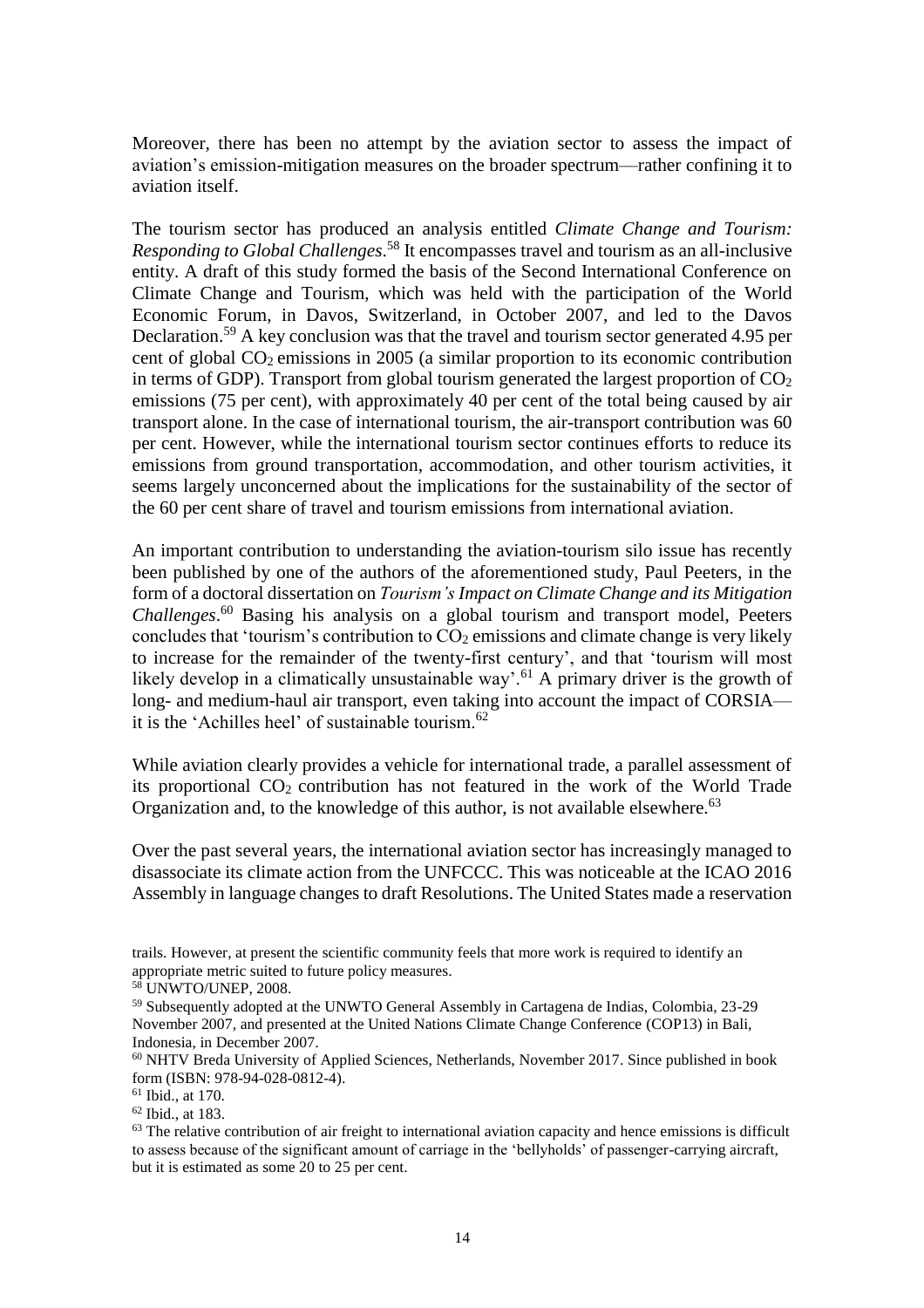Moreover, there has been no attempt by the aviation sector to assess the impact of aviation's emission-mitigation measures on the broader spectrum—rather confining it to aviation itself.

The tourism sector has produced an analysis entitled *Climate Change and Tourism: Responding to Global Challenges*. <sup>58</sup> It encompasses travel and tourism as an all-inclusive entity. A draft of this study formed the basis of the Second International Conference on Climate Change and Tourism, which was held with the participation of the World Economic Forum, in Davos, Switzerland, in October 2007, and led to the Davos Declaration. <sup>59</sup> A key conclusion was that the travel and tourism sector generated 4.95 per cent of global  $CO<sub>2</sub>$  emissions in 2005 (a similar proportion to its economic contribution in terms of GDP). Transport from global tourism generated the largest proportion of  $CO<sub>2</sub>$ emissions (75 per cent), with approximately 40 per cent of the total being caused by air transport alone. In the case of international tourism, the air-transport contribution was 60 per cent. However, while the international tourism sector continues efforts to reduce its emissions from ground transportation, accommodation, and other tourism activities, it seems largely unconcerned about the implications for the sustainability of the sector of the 60 per cent share of travel and tourism emissions from international aviation.

An important contribution to understanding the aviation-tourism silo issue has recently been published by one of the authors of the aforementioned study, Paul Peeters, in the form of a doctoral dissertation on *Tourism's Impact on Climate Change and its Mitigation Challenges*. <sup>60</sup> Basing his analysis on a global tourism and transport model, Peeters concludes that 'tourism's contribution to  $CO<sub>2</sub>$  emissions and climate change is very likely to increase for the remainder of the twenty-first century', and that 'tourism will most likely develop in a climatically unsustainable way'.<sup>61</sup> A primary driver is the growth of long- and medium-haul air transport, even taking into account the impact of CORSIA it is the 'Achilles heel' of sustainable tourism.<sup>62</sup>

While aviation clearly provides a vehicle for international trade, a parallel assessment of its proportional CO<sup>2</sup> contribution has not featured in the work of the World Trade Organization and, to the knowledge of this author, is not available elsewhere.<sup>63</sup>

Over the past several years, the international aviation sector has increasingly managed to disassociate its climate action from the UNFCCC. This was noticeable at the ICAO 2016 Assembly in language changes to draft Resolutions. The United States made a reservation

trails. However, at present the scientific community feels that more work is required to identify an appropriate metric suited to future policy measures.

<sup>58</sup> UNWTO/UNEP, 2008.

<sup>59</sup> Subsequently adopted at the UNWTO General Assembly in Cartagena de Indias, Colombia, 23-29 November 2007, and presented at the United Nations Climate Change Conference (COP13) in Bali, Indonesia, in December 2007.

 $60$  NHTV Breda University of Applied Sciences, Netherlands, November 2017. Since published in book form (ISBN: 978-94-028-0812-4).

<sup>61</sup> Ibid., at 170.

<sup>62</sup> Ibid., at 183.

 $63$  The relative contribution of air freight to international aviation capacity and hence emissions is difficult to assess because of the significant amount of carriage in the 'bellyholds' of passenger-carrying aircraft, but it is estimated as some 20 to 25 per cent.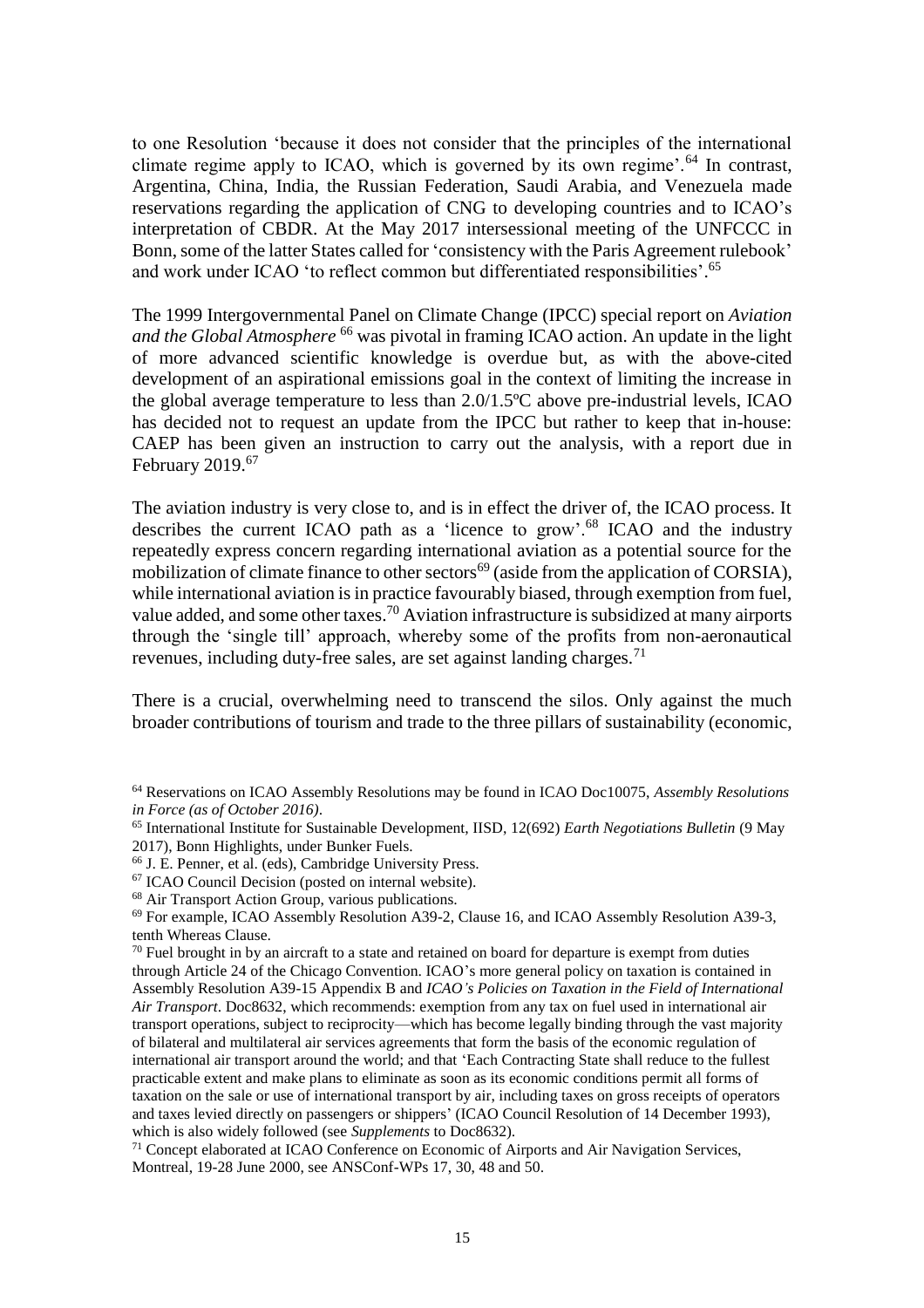to one Resolution 'because it does not consider that the principles of the international climate regime apply to ICAO, which is governed by its own regime'.<sup>64</sup> In contrast, Argentina, China, India, the Russian Federation, Saudi Arabia, and Venezuela made reservations regarding the application of CNG to developing countries and to ICAO's interpretation of CBDR. At the May 2017 intersessional meeting of the UNFCCC in Bonn, some of the latter States called for 'consistency with the Paris Agreement rulebook' and work under ICAO 'to reflect common but differentiated responsibilities'. 65

The 1999 Intergovernmental Panel on Climate Change (IPCC) special report on *Aviation and the Global Atmosphere* <sup>66</sup> was pivotal in framing ICAO action. An update in the light of more advanced scientific knowledge is overdue but, as with the above-cited development of an aspirational emissions goal in the context of limiting the increase in the global average temperature to less than 2.0/1.5ºC above pre-industrial levels, ICAO has decided not to request an update from the IPCC but rather to keep that in-house: CAEP has been given an instruction to carry out the analysis, with a report due in February 2019.<sup>67</sup>

The aviation industry is very close to, and is in effect the driver of, the ICAO process. It describes the current ICAO path as a 'licence to grow'.<sup>68</sup> ICAO and the industry repeatedly express concern regarding international aviation as a potential source for the mobilization of climate finance to other sectors<sup>69</sup> (aside from the application of CORSIA), while international aviation is in practice favourably biased, through exemption from fuel, value added, and some other taxes.<sup>70</sup> Aviation infrastructure is subsidized at many airports through the 'single till' approach, whereby some of the profits from non-aeronautical revenues, including duty-free sales, are set against landing charges.<sup>71</sup>

There is a crucial, overwhelming need to transcend the silos. Only against the much broader contributions of tourism and trade to the three pillars of sustainability (economic,

<sup>64</sup> Reservations on ICAO Assembly Resolutions may be found in ICAO Doc10075, *Assembly Resolutions in Force (as of October 2016)*.

<sup>65</sup> International Institute for Sustainable Development, IISD, 12(692) *Earth Negotiations Bulletin* (9 May 2017), Bonn Highlights, under Bunker Fuels.

<sup>66</sup> J. E. Penner, et al. (eds), Cambridge University Press.

<sup>67</sup> ICAO Council Decision (posted on internal website).

<sup>&</sup>lt;sup>68</sup> Air Transport Action Group, various publications.

<sup>69</sup> For example, ICAO Assembly Resolution A39-2, Clause 16, and ICAO Assembly Resolution A39-3, tenth Whereas Clause.

 $70$  Fuel brought in by an aircraft to a state and retained on board for departure is exempt from duties through Article 24 of the Chicago Convention. ICAO's more general policy on taxation is contained in Assembly Resolution A39-15 Appendix B and *ICAO's Policies on Taxation in the Field of International Air Transport*. Doc8632, which recommends: exemption from any tax on fuel used in international air transport operations, subject to reciprocity—which has become legally binding through the vast majority of bilateral and multilateral air services agreements that form the basis of the economic regulation of international air transport around the world; and that 'Each Contracting State shall reduce to the fullest practicable extent and make plans to eliminate as soon as its economic conditions permit all forms of taxation on the sale or use of international transport by air, including taxes on gross receipts of operators and taxes levied directly on passengers or shippers' (ICAO Council Resolution of 14 December 1993), which is also widely followed (see *Supplements* to Doc8632).

<sup>71</sup> Concept elaborated at ICAO Conference on Economic of Airports and Air Navigation Services, Montreal, 19-28 June 2000, see ANSConf-WPs 17, 30, 48 and 50.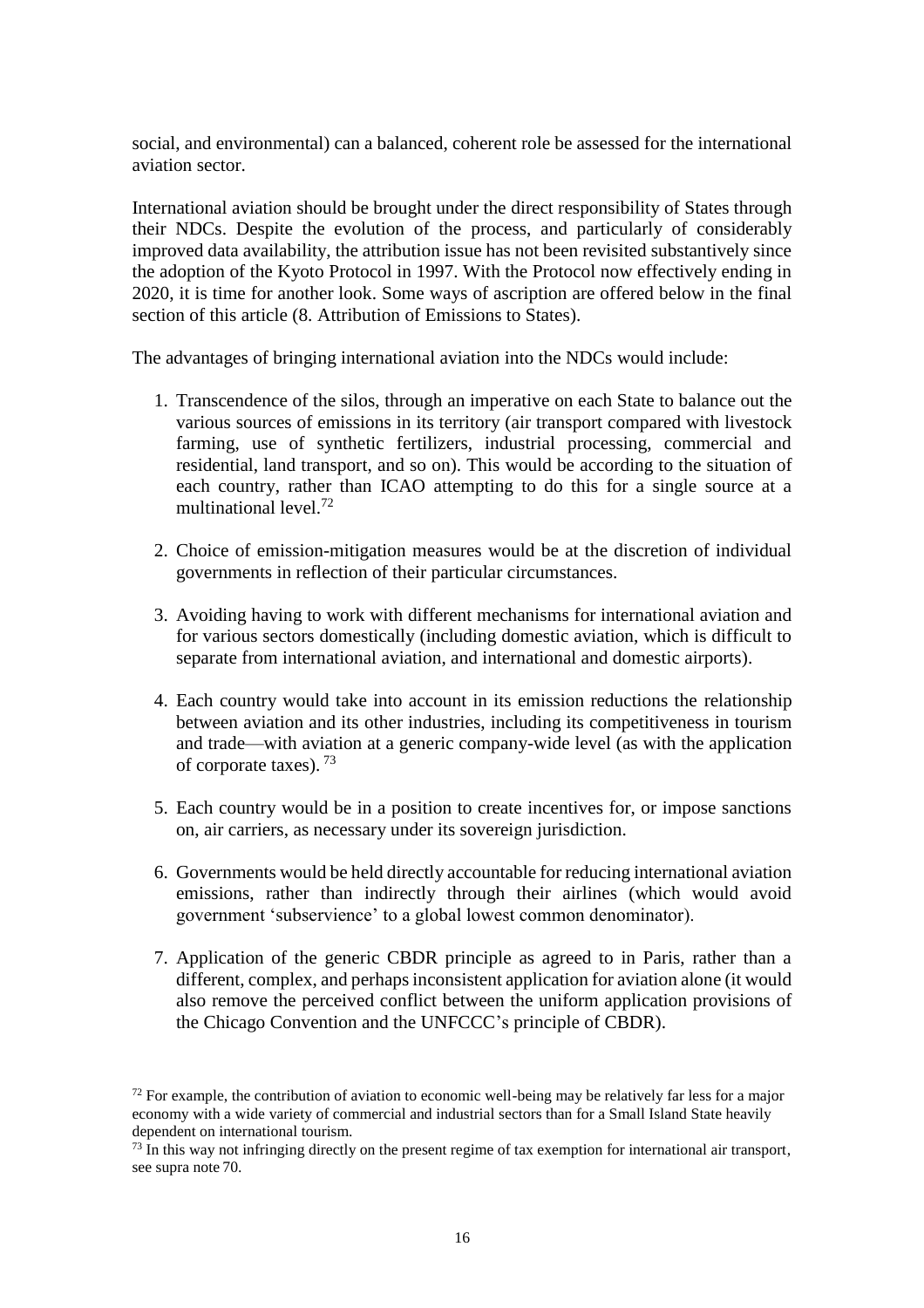social, and environmental) can a balanced, coherent role be assessed for the international aviation sector.

International aviation should be brought under the direct responsibility of States through their NDCs. Despite the evolution of the process, and particularly of considerably improved data availability, the attribution issue has not been revisited substantively since the adoption of the Kyoto Protocol in 1997. With the Protocol now effectively ending in 2020, it is time for another look. Some ways of ascription are offered below in the final section of this article (8. Attribution of Emissions to States).

The advantages of bringing international aviation into the NDCs would include:

- 1. Transcendence of the silos, through an imperative on each State to balance out the various sources of emissions in its territory (air transport compared with livestock farming, use of synthetic fertilizers, industrial processing, commercial and residential, land transport, and so on). This would be according to the situation of each country, rather than ICAO attempting to do this for a single source at a multinational level<sup>72</sup>
- 2. Choice of emission-mitigation measures would be at the discretion of individual governments in reflection of their particular circumstances.
- 3. Avoiding having to work with different mechanisms for international aviation and for various sectors domestically (including domestic aviation, which is difficult to separate from international aviation, and international and domestic airports).
- 4. Each country would take into account in its emission reductions the relationship between aviation and its other industries, including its competitiveness in tourism and trade—with aviation at a generic company-wide level (as with the application of corporate taxes).<sup>73</sup>
- 5. Each country would be in a position to create incentives for, or impose sanctions on, air carriers, as necessary under its sovereign jurisdiction.
- 6. Governments would be held directly accountable for reducing international aviation emissions, rather than indirectly through their airlines (which would avoid government 'subservience' to a global lowest common denominator).
- 7. Application of the generic CBDR principle as agreed to in Paris, rather than a different, complex, and perhaps inconsistent application for aviation alone (it would also remove the perceived conflict between the uniform application provisions of the Chicago Convention and the UNFCCC's principle of CBDR).

 $72$  For example, the contribution of aviation to economic well-being may be relatively far less for a major economy with a wide variety of commercial and industrial sectors than for a Small Island State heavily dependent on international tourism.

 $^{73}$  In this way not infringing directly on the present regime of tax exemption for international air transport, see supra note 70.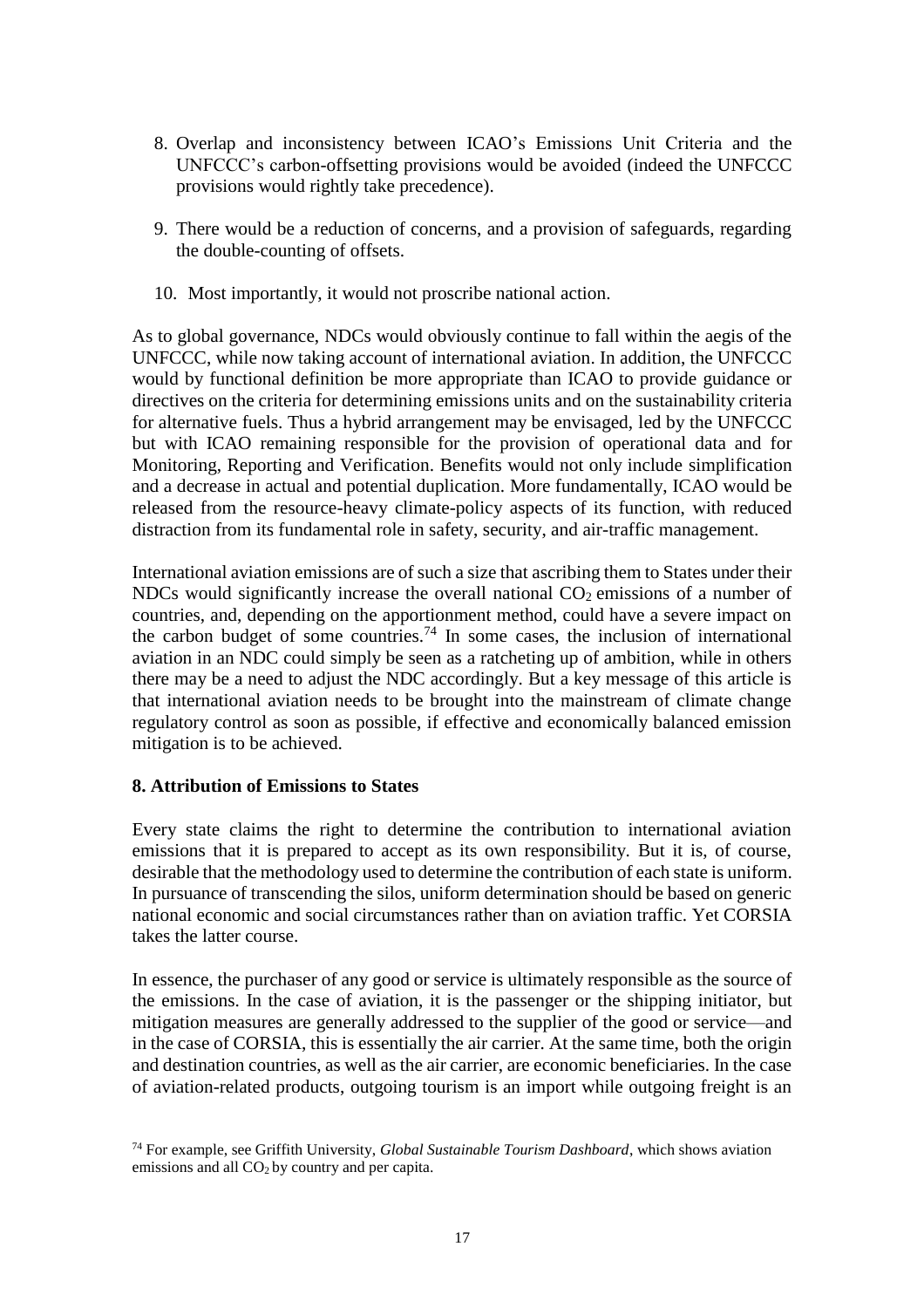- 8. Overlap and inconsistency between ICAO's Emissions Unit Criteria and the UNFCCC's carbon-offsetting provisions would be avoided (indeed the UNFCCC provisions would rightly take precedence).
- 9. There would be a reduction of concerns, and a provision of safeguards, regarding the double-counting of offsets.
- 10. Most importantly, it would not proscribe national action.

As to global governance, NDCs would obviously continue to fall within the aegis of the UNFCCC, while now taking account of international aviation. In addition, the UNFCCC would by functional definition be more appropriate than ICAO to provide guidance or directives on the criteria for determining emissions units and on the sustainability criteria for alternative fuels. Thus a hybrid arrangement may be envisaged, led by the UNFCCC but with ICAO remaining responsible for the provision of operational data and for Monitoring, Reporting and Verification. Benefits would not only include simplification and a decrease in actual and potential duplication. More fundamentally, ICAO would be released from the resource-heavy climate-policy aspects of its function, with reduced distraction from its fundamental role in safety, security, and air-traffic management.

International aviation emissions are of such a size that ascribing them to States under their NDCs would significantly increase the overall national  $CO<sub>2</sub>$  emissions of a number of countries, and, depending on the apportionment method, could have a severe impact on the carbon budget of some countries.<sup>74</sup> In some cases, the inclusion of international aviation in an NDC could simply be seen as a ratcheting up of ambition, while in others there may be a need to adjust the NDC accordingly. But a key message of this article is that international aviation needs to be brought into the mainstream of climate change regulatory control as soon as possible, if effective and economically balanced emission mitigation is to be achieved.

# **8. Attribution of Emissions to States**

Every state claims the right to determine the contribution to international aviation emissions that it is prepared to accept as its own responsibility. But it is, of course, desirable that the methodology used to determine the contribution of each state is uniform. In pursuance of transcending the silos, uniform determination should be based on generic national economic and social circumstances rather than on aviation traffic. Yet CORSIA takes the latter course.

In essence, the purchaser of any good or service is ultimately responsible as the source of the emissions. In the case of aviation, it is the passenger or the shipping initiator, but mitigation measures are generally addressed to the supplier of the good or service—and in the case of CORSIA, this is essentially the air carrier. At the same time, both the origin and destination countries, as well as the air carrier, are economic beneficiaries. In the case of aviation-related products, outgoing tourism is an import while outgoing freight is an

<sup>74</sup> For example, see Griffith University, *Global Sustainable Tourism Dashboard*, which shows aviation emissions and all CO<sub>2</sub> by country and per capita.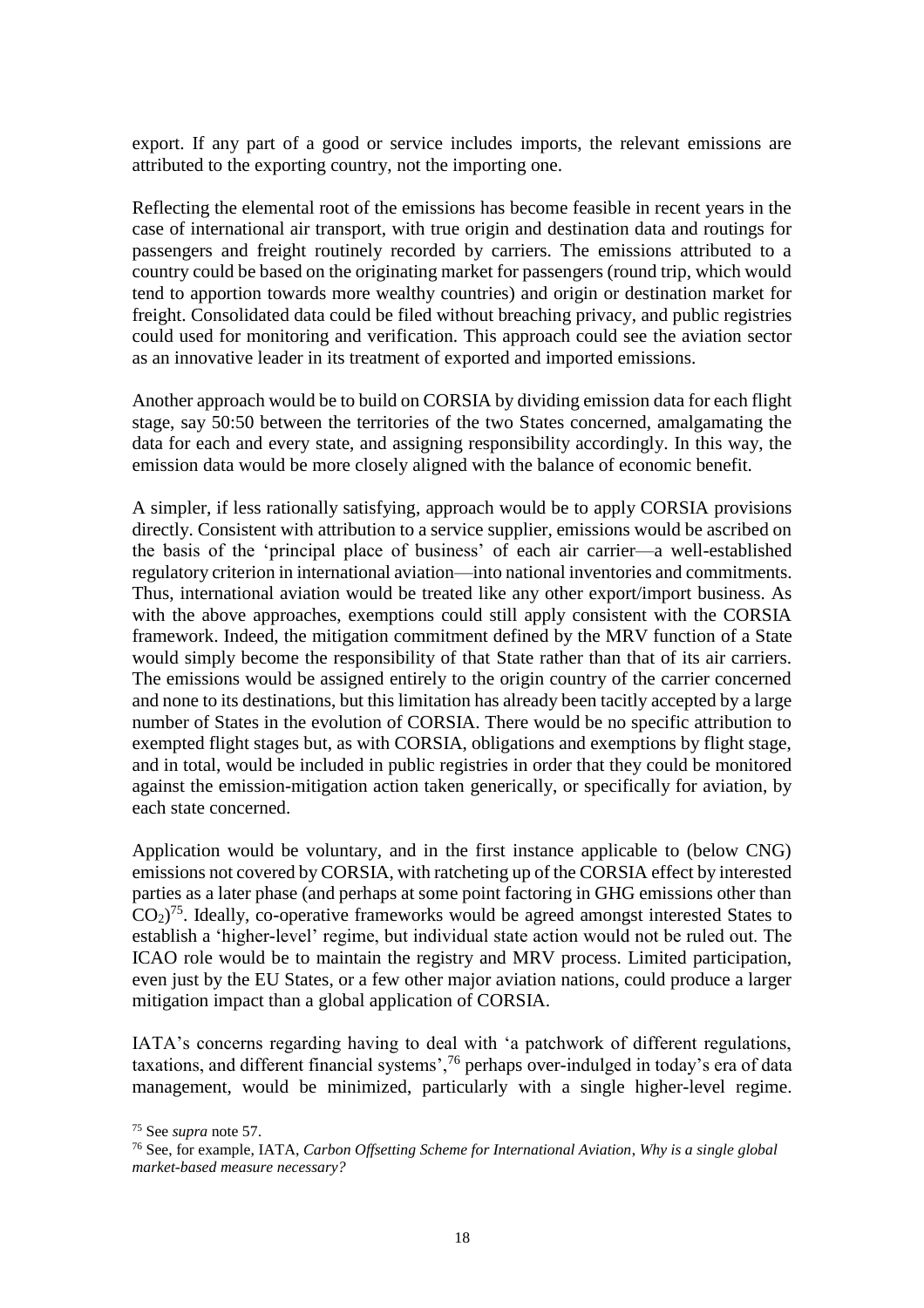export. If any part of a good or service includes imports, the relevant emissions are attributed to the exporting country, not the importing one.

Reflecting the elemental root of the emissions has become feasible in recent years in the case of international air transport, with true origin and destination data and routings for passengers and freight routinely recorded by carriers. The emissions attributed to a country could be based on the originating market for passengers (round trip, which would tend to apportion towards more wealthy countries) and origin or destination market for freight. Consolidated data could be filed without breaching privacy, and public registries could used for monitoring and verification. This approach could see the aviation sector as an innovative leader in its treatment of exported and imported emissions.

Another approach would be to build on CORSIA by dividing emission data for each flight stage, say 50:50 between the territories of the two States concerned, amalgamating the data for each and every state, and assigning responsibility accordingly. In this way, the emission data would be more closely aligned with the balance of economic benefit.

A simpler, if less rationally satisfying, approach would be to apply CORSIA provisions directly. Consistent with attribution to a service supplier, emissions would be ascribed on the basis of the 'principal place of business' of each air carrier—a well-established regulatory criterion in international aviation—into national inventories and commitments. Thus, international aviation would be treated like any other export/import business. As with the above approaches, exemptions could still apply consistent with the CORSIA framework. Indeed, the mitigation commitment defined by the MRV function of a State would simply become the responsibility of that State rather than that of its air carriers. The emissions would be assigned entirely to the origin country of the carrier concerned and none to its destinations, but this limitation has already been tacitly accepted by a large number of States in the evolution of CORSIA. There would be no specific attribution to exempted flight stages but, as with CORSIA, obligations and exemptions by flight stage, and in total, would be included in public registries in order that they could be monitored against the emission-mitigation action taken generically, or specifically for aviation, by each state concerned.

Application would be voluntary, and in the first instance applicable to (below CNG) emissions not covered by CORSIA, with ratcheting up of the CORSIA effect by interested parties as a later phase (and perhaps at some point factoring in GHG emissions other than  $CO<sub>2</sub>$ <sup>75</sup>. Ideally, co-operative frameworks would be agreed amongst interested States to establish a 'higher-level' regime, but individual state action would not be ruled out. The ICAO role would be to maintain the registry and MRV process. Limited participation, even just by the EU States, or a few other major aviation nations, could produce a larger mitigation impact than a global application of CORSIA.

IATA's concerns regarding having to deal with 'a patchwork of different regulations, taxations, and different financial systems',<sup>76</sup> perhaps over-indulged in today's era of data management, would be minimized, particularly with a single higher-level regime.

<sup>75</sup> See *supra* note 57.

<sup>76</sup> See, for example, IATA, *Carbon Offsetting Scheme for International Aviation*, *Why is a single global market-based measure necessary?*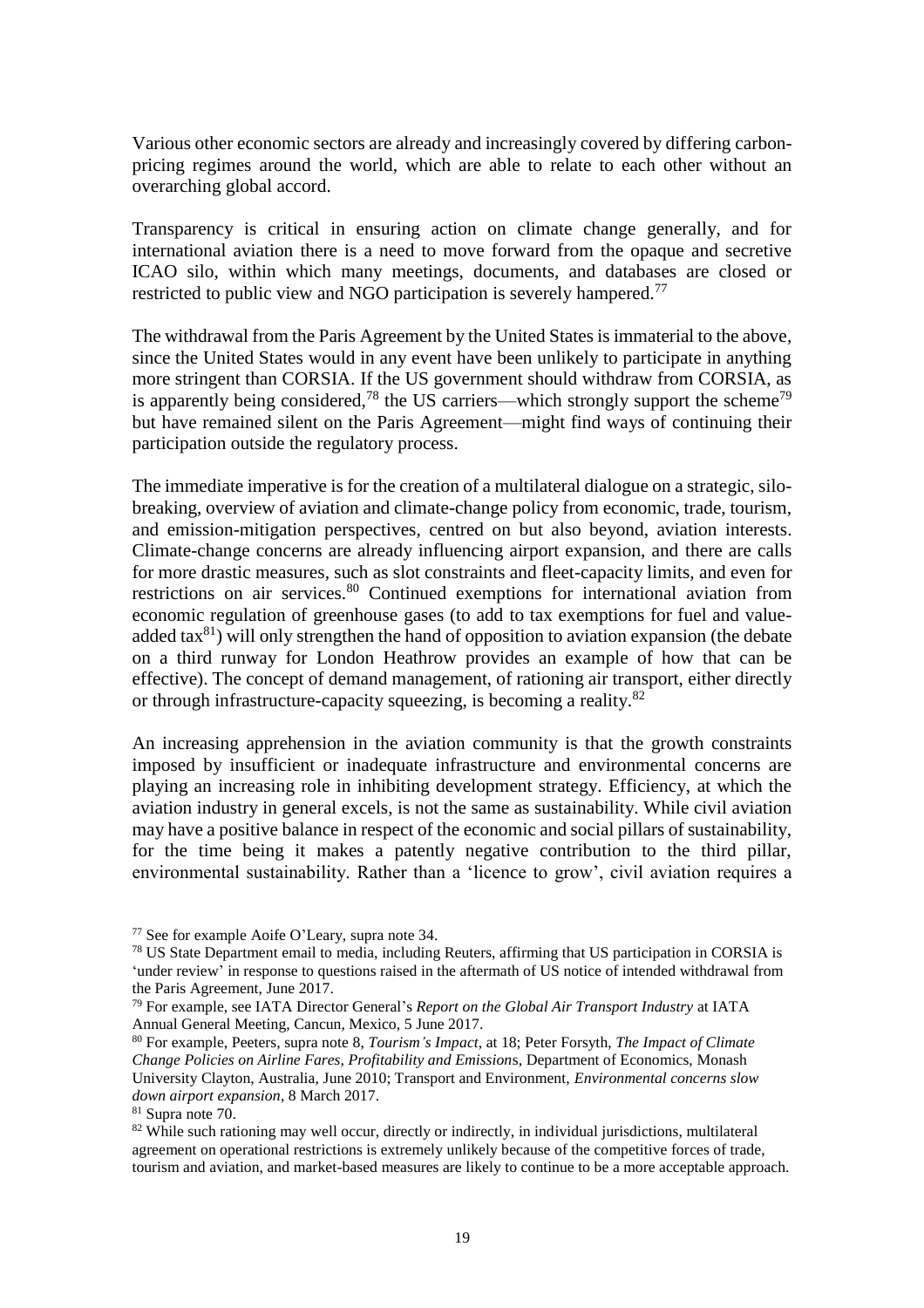Various other economic sectors are already and increasingly covered by differing carbonpricing regimes around the world, which are able to relate to each other without an overarching global accord.

Transparency is critical in ensuring action on climate change generally, and for international aviation there is a need to move forward from the opaque and secretive ICAO silo, within which many meetings, documents, and databases are closed or restricted to public view and NGO participation is severely hampered.<sup>77</sup>

The withdrawal from the Paris Agreement by the United States is immaterial to the above, since the United States would in any event have been unlikely to participate in anything more stringent than CORSIA. If the US government should withdraw from CORSIA, as is apparently being considered,<sup>78</sup> the US carriers—which strongly support the scheme<sup>79</sup> but have remained silent on the Paris Agreement—might find ways of continuing their participation outside the regulatory process.

The immediate imperative is for the creation of a multilateral dialogue on a strategic, silobreaking, overview of aviation and climate-change policy from economic, trade, tourism, and emission-mitigation perspectives, centred on but also beyond, aviation interests. Climate-change concerns are already influencing airport expansion, and there are calls for more drastic measures, such as slot constraints and fleet-capacity limits, and even for restrictions on air services.<sup>80</sup> Continued exemptions for international aviation from economic regulation of greenhouse gases (to add to tax exemptions for fuel and valueadded  $\text{tax}^{81}$ ) will only strengthen the hand of opposition to aviation expansion (the debate on a third runway for London Heathrow provides an example of how that can be effective). The concept of demand management, of rationing air transport, either directly or through infrastructure-capacity squeezing, is becoming a reality.<sup>82</sup>

An increasing apprehension in the aviation community is that the growth constraints imposed by insufficient or inadequate infrastructure and environmental concerns are playing an increasing role in inhibiting development strategy. Efficiency, at which the aviation industry in general excels, is not the same as sustainability. While civil aviation may have a positive balance in respect of the economic and social pillars of sustainability, for the time being it makes a patently negative contribution to the third pillar, environmental sustainability. Rather than a 'licence to grow', civil aviation requires a

<sup>77</sup> See for example Aoife O'Leary, supra note 34.

<sup>78</sup> US State Department email to media, including Reuters, affirming that US participation in CORSIA is 'under review' in response to questions raised in the aftermath of US notice of intended withdrawal from the Paris Agreement, June 2017.

<sup>79</sup> For example, see IATA Director General's *Report on the Global Air Transport Industry* at IATA Annual General Meeting, Cancun, Mexico, 5 June 2017*.*

<sup>80</sup> For example, Peeters, supra note 8, *Tourism's Impact*, at 18; Peter Forsyth, *The Impact of Climate Change Policies on Airline Fares, Profitability and Emission*s, Department of Economics, Monash University Clayton, Australia, June 2010; Transport and Environment, *Environmental concerns slow down airport expansion*, 8 March 2017.

<sup>81</sup> Supra note 70.

<sup>&</sup>lt;sup>82</sup> While such rationing may well occur, directly or indirectly, in individual jurisdictions, multilateral agreement on operational restrictions is extremely unlikely because of the competitive forces of trade, tourism and aviation, and market-based measures are likely to continue to be a more acceptable approach.